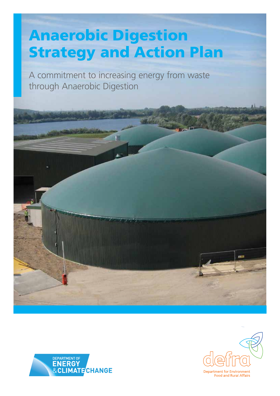## Anaerobic Digestion Strategy and Action Plan

A commitment to increasing energy from waste through Anaerobic Digestion





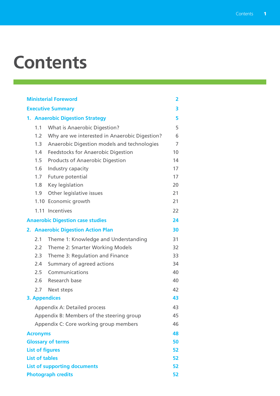## **Contents**

| <b>Ministerial Foreword</b> |                       |                                               | $\overline{\mathbf{2}}$ |
|-----------------------------|-----------------------|-----------------------------------------------|-------------------------|
| <b>Executive Summary</b>    |                       |                                               | 3                       |
|                             |                       | 1. Anaerobic Digestion Strategy               | 5                       |
|                             | 1.1                   | <b>What is Anaerobic Digestion?</b>           | 5                       |
|                             | 1.2                   | Why are we interested in Anaerobic Digestion? | 6                       |
|                             | 1.3                   | Anaerobic Digestion models and technologies   | 7                       |
|                             | 1.4                   | <b>Feedstocks for Anaerobic Digestion</b>     | 10                      |
|                             | 1.5                   | <b>Products of Anaerobic Digestion</b>        | 14                      |
|                             | 1.6                   | Industry capacity                             | 17                      |
|                             | 1.7                   | Future potential                              | 17                      |
|                             | 1.8                   | Key legislation                               | 20                      |
|                             | 1.9                   | Other legislative issues                      | 21                      |
|                             | 1.10                  | Economic growth                               | 21                      |
|                             |                       | 1.11 Incentives                               | 22                      |
|                             |                       | <b>Anaerobic Digestion case studies</b>       | 24                      |
|                             |                       | 2. Anaerobic Digestion Action Plan            | 30                      |
|                             | 2.1                   | Theme 1: Knowledge and Understanding          | 31                      |
|                             | 2.2                   | Theme 2: Smarter Working Models               | 32                      |
|                             | 2.3                   | Theme 3: Regulation and Finance               | 33                      |
|                             | 2.4                   | Summary of agreed actions                     | 34                      |
|                             | 2.5                   | Communications                                | 40                      |
|                             | 2.6                   | Research base                                 | 40                      |
|                             | 2.7                   | Next steps                                    | 42                      |
|                             |                       | <b>3. Appendices</b>                          | 43                      |
|                             |                       | <b>Appendix A: Detailed process</b>           | 43                      |
|                             |                       | Appendix B: Members of the steering group     | 45                      |
|                             |                       | Appendix C: Core working group members        | 46                      |
|                             | <b>Acronyms</b>       |                                               | 48                      |
|                             |                       | <b>Glossary of terms</b>                      | 50                      |
|                             |                       | <b>List of figures</b>                        | 52                      |
|                             | <b>List of tables</b> |                                               | 52                      |
|                             |                       | <b>List of supporting documents</b>           | 52                      |
| <b>Photograph credits</b>   |                       |                                               | 52                      |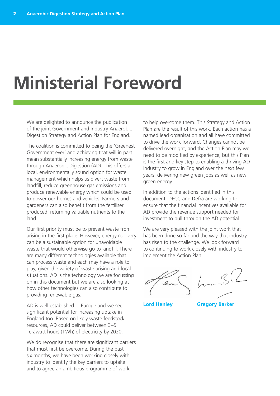## **Ministerial Foreword**

We are delighted to announce the publication of the joint Government and Industry Anaerobic Digestion Strategy and Action Plan for England.

The coalition is committed to being the 'Greenest Government ever' and achieving that will in part mean substantially increasing energy from waste through Anaerobic Digestion (AD). This offers a local, environmentally sound option for waste management which helps us divert waste from landfill, reduce greenhouse gas emissions and produce renewable energy which could be used to power our homes and vehicles. Farmers and gardeners can also benefit from the fertiliser produced, returning valuable nutrients to the land.

Our first priority must be to prevent waste from arising in the first place. However, energy recovery can be a sustainable option for unavoidable waste that would otherwise go to landfill. There are many different technologies available that can process waste and each may have a role to play, given the variety of waste arising and local situations. AD is the technology we are focussing on in this document but we are also looking at how other technologies can also contribute to providing renewable gas.

AD is well established in Europe and we see significant potential for increasing uptake in England too. Based on likely waste feedstock resources, AD could deliver between 3–5 Terawatt hours (TWh) of electricity by 2020.

We do recognise that there are significant barriers that must first be overcome. During the past six months, we have been working closely with industry to identify the key barriers to uptake and to agree an ambitious programme of work

to help overcome them. This Strategy and Action Plan are the result of this work. Each action has a named lead organisation and all have committed to drive the work forward. Changes cannot be delivered overnight, and the Action Plan may well need to be modified by experience, but this Plan is the first and key step to enabling a thriving AD industry to grow in England over the next few years, delivering new green jobs as well as new green energy.

In addition to the actions identified in this document, DECC and Defra are working to ensure that the financial incentives available for AD provide the revenue support needed for investment to pull through the AD potential.

We are very pleased with the joint work that has been done so far and the way that industry has risen to the challenge. We look forward to continuing to work closely with industry to implement the Action Plan.

**Lord Henley Gregory Barker**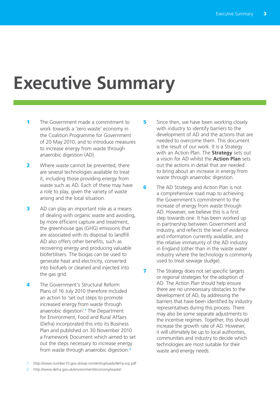## **Executive Summary**

- 1 The Government made a commitment to work towards a 'zero waste' economy in the Coalition Programme for Government of 20 May 2010, and to introduce measures to increase energy from waste through anaerobic digestion (AD).
- 2 Where waste cannot be prevented, there are several technologies available to treat it, including those providing energy from waste such as AD. Each of these may have a role to play, given the variety of waste arising and the local situation.
- **3** AD can play an important role as a means of dealing with organic waste and avoiding, by more efficient capture and treatment, the greenhouse gas (GHG) emissions that are associated with its disposal to landfill. AD also offers other benefits, such as recovering energy and producing valuable biofertilisers. The biogas can be used to generate heat and electricity, converted into biofuels or cleaned and injected into the gas grid.
- **4** The Government's Structural Reform Plans of 16 July 2010 therefore included an action to 'set out steps to promote increased energy from waste through anaerobic digestion'.**<sup>1</sup>** The Department for Environment, Food and Rural Affairs (Defra) incorporated this into its Business Plan and published on 30 November 2010 a Framework Document which aimed to set out the steps necessary to increase energy from waste through anaerobic digestion.**<sup>2</sup>**
- 1 http://www.number10.gov.uk/wp-content/uploads/defra-srp.pdf
- http://www.defra.gov.uk/environment/economy/waste/
- 5 Since then, we have been working closely with industry to identify barriers to the development of AD and the actions that are needed to overcome them. This document is the result of our work. It is a Strategy with an Action Plan. The **Strategy** sets out a vision for AD whilst the **Action Plan** sets out the actions in detail that are needed to bring about an increase in energy from waste through anaerobic digestion.
- **6** The AD Strategy and Action Plan is not a comprehensive road map to achieving the Government's commitment to the increase of energy from waste through AD. However, we believe this is a first step towards one. It has been worked up in partnership between Government and industry, and reflects the level of evidence and information currently available, and the relative immaturity of the AD industry in England (other than in the waste water industry where the technology is commonly used to treat sewage sludge).
- **7** The Strategy does not set specific targets or regional strategies for the adoption of AD. The Action Plan should help ensure there are no unnecessary obstacles to the development of AD, by addressing the barriers that have been identified by industry representatives during this process. There may also be some separate adjustments to the incentive regimes. Together, this should increase the growth rate of AD. However, it will ultimately be up to local authorities, communities and industry to decide which technologies are most suitable for their waste and energy needs.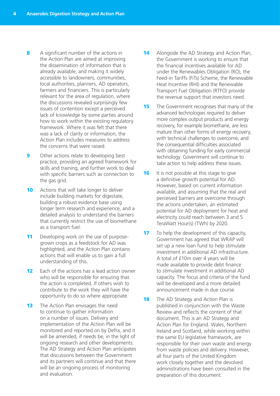- 8 A significant number of the actions in the Action Plan are aimed at improving the dissemination of information that is already available, and making it widely accessible to landowners, communities, local authorities, planners, AD operators, farmers and financiers. This is particularly relevant for the area of regulation, where the discussions revealed surprisingly few issues of contention except a perceived lack of knowledge by some parties around how to work within the existing regulatory framework. Where it was felt that there was a lack of clarity or information, the Action Plan includes measures to address the concerns that were raised.
- **9** Other actions relate to developing best practice, providing an agreed framework for skills and training, and further work to deal with specific barriers such as connection to the gas grid.
- **10** Actions that will take longer to deliver include building markets for digestate, building a robust evidence base using longer term research and experience, and a detailed analysis to understand the barriers that currently restrict the use of biomethane as a transport fuel.
- 11 Developing work on the use of purposegrown crops as a feedstock for AD was highlighted, and the Action Plan contains actions that will enable us to gain a full understanding of this.
- **12** Each of the actions has a lead action owner who will be responsible for ensuring that the action is completed. If others wish to contribute to the work they will have the opportunity to do so where appropriate.
- **13** The Action Plan envisages the need to continue to gather information on a number of issues. Delivery and implementation of the Action Plan will be monitored and reported on by Defra, and it will be amended, if needs be, in the light of ongoing research and other developments. The AD Strategy and Action Plan anticipates that discussions between the Government and its partners will continue and that there will be an ongoing process of monitoring and evaluation.
- **14** Alongside the AD Strategy and Action Plan, the Government is working to ensure that the financial incentives available for AD under the Renewables Obligation (RO), the Feed-in Tariffs (FiTs) Scheme, the Renewable Heat Incentive (RHI) and the Renewable Transport Fuel Obligation (RTFO) provide the revenue support that investors need.
- **15** The Government recognises that many of the advanced technologies required to deliver more complex output products and energy recovery, for example biomethane, are less mature than other forms of energy recovery, with technical challenges to overcome, and the consequential difficulties associated with obtaining funding for early commercial technology. Government will continue to take action to help address these issues.
- **16** It is not possible at this stage to give a definitive growth potential for AD. However, based on current information available, and assuming that the real and perceived barriers are overcome through the actions undertaken, an estimated potential for AD deployment for heat and electricity could reach between 3 and 5 TeraWatt Hour(s) (TWh) by 2020.
- **17** To help the development of this capacity, Government has agreed that WRAP will set up a new loan fund to help stimulate investment in additional AD infrastructure. A total of £10m over 4 years will be made available to provide debt finance to stimulate investment in additional AD capacity. The focus and criteria of the fund will be developed and a more detailed announcement made in due course.
- **18** The AD Strategy and Action Plan is published in conjunction with the Waste Review and reflects the content of that document. This is an AD Strategy and Action Plan for England. Wales, Northern Ireland and Scotland, while working within the same EU legislative framework, are responsible for their own waste and energy from waste policies and delivery. However, all four parts of the United Kingdom work closely together and the devolved administrations have been consulted in the preparation of this document.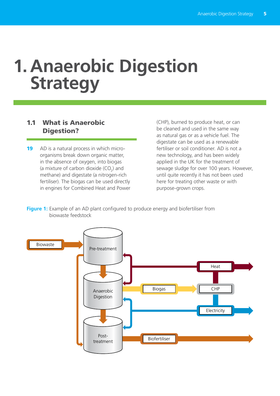## **1. Anaerobic Digestion Strategy**

## 1.1 What is Anaerobic Digestion?

19 AD is a natural process in which microorganisms break down organic matter, in the absence of oxygen, into biogas (a mixture of carbon dioxide  $(CO_2)$  and methane) and digestate (a nitrogen-rich fertiliser). The biogas can be used directly in engines for Combined Heat and Power (CHP), burned to produce heat, or can be cleaned and used in the same way as natural gas or as a vehicle fuel. The digestate can be used as a renewable fertiliser or soil conditioner. AD is not a new technology, and has been widely applied in the UK for the treatment of sewage sludge for over 100 years. However, until quite recently it has not been used here for treating other waste or with purpose-grown crops.

**Figure 1:** Example of an AD plant configured to produce energy and biofertiliser from biowaste feedstock

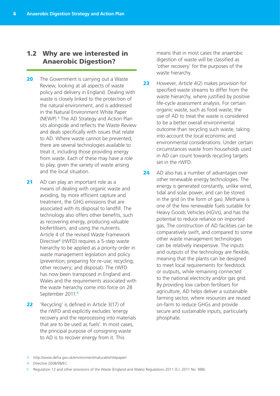## 1.2 Why are we interested in Anaerobic Digestion?

- **20** The Government is carrying out a Waste Review, looking at all aspects of waste policy and delivery in England. Dealing with waste is closely linked to the protection of the natural environment, and is addressed in the Natural Environment White Paper (NEWP).**<sup>3</sup>** The AD Strategy and Action Plan sits alongside and reflects the Waste Review and deals specifically with issues that relate to AD. Where waste cannot be prevented, there are several technologies available to treat it, including those providing energy from waste. Each of these may have a role to play, given the variety of waste arising and the local situation.
- 21 AD can play an important role as a means of dealing with organic waste and avoiding, by more efficient capture and treatment, the GHG emissions that are associated with its disposal to landfill. The technology also offers other benefits, such as recovering energy, producing valuable biofertilisers, and using the nutrients. Article 4 of the revised Waste Framework Directive**<sup>4</sup>** (rWFD) requires a 5-step waste hierarchy to be applied as a priority order in waste management legislation and policy (prevention; preparing for re-use; recycling; other recovery; and disposal). The rWFD has now been transposed in England and Wales and the requirements associated with the waste hierarchy come into force on 28 September 2011.**<sup>5</sup>**
- 22 'Recycling' is defined in Article 3(17) of the rWFD and explicitly excludes 'energy recovery and the reprocessing into materials that are to be used as fuels'. In most cases, the principal purpose of consigning waste to AD is to recover energy from it. This

means that in most cases the anaerobic digestion of waste will be classified as 'other recovery' for the purposes of the waste hierarchy.

- 23 However, Article 4(2) makes provision for specified waste streams to differ from the waste hierarchy, where justified by positive life-cycle assessment analysis. For certain organic waste, such as food waste, the use of AD to treat the waste is considered to be a better overall environmental outcome than recycling such waste, taking into account the local economic and environmental considerations. Under certain circumstances waste from households used in AD can count towards recycling targets set in the rWFD.
- 24 AD also has a number of advantages over other renewable energy technologies. The energy is generated constantly, unlike wind, tidal and solar power, and can be stored in the grid (in the form of gas). Methane is one of the few renewable fuels suitable for Heavy Goods Vehicles (HGVs), and has the potential to reduce reliance on imported gas. The construction of AD facilities can be comparatively swift, and compared to some other waste management technologies can be relatively inexpensive. The inputs and outputs of the technology are flexible, meaning that the plants can be designed to meet local requirements for feedstock or outputs, while remaining connected to the national electricity and/or gas grid. By providing low carbon fertilisers for agriculture, AD helps deliver a sustainable farming sector, where resources are reused on-farm to reduce GHGs and provide secure and sustainable inputs, particularly phosphate.

4 Directive 2008/98/EC.

<sup>3</sup> http://www.defra.gov.uk/environment/natural/whitepaper/

<sup>5</sup> Regulation 12 and other provisions of the Waste (England and Wales) Regulations 2011 (S.I. 2011 No. 988).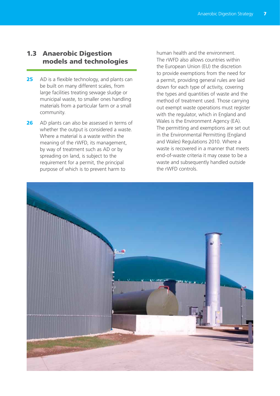## 1.3 Anaerobic Digestion models and technologies

- 25 AD is a flexible technology, and plants can be built on many different scales, from large facilities treating sewage sludge or municipal waste, to smaller ones handling materials from a particular farm or a small community.
- 26 AD plants can also be assessed in terms of whether the output is considered a waste. Where a material is a waste within the meaning of the rWFD, its management, by way of treatment such as AD or by spreading on land, is subject to the requirement for a permit, the principal purpose of which is to prevent harm to

human health and the environment. The rWFD also allows countries within the European Union (EU) the discretion to provide exemptions from the need for a permit, providing general rules are laid down for each type of activity, covering the types and quantities of waste and the method of treatment used. Those carrying out exempt waste operations must register with the regulator, which in England and Wales is the Environment Agency (EA). The permitting and exemptions are set out in the Environmental Permitting (England and Wales) Regulations 2010. Where a waste is recovered in a manner that meets end-of-waste criteria it may cease to be a waste and subsequently handled outside the rWFD controls.

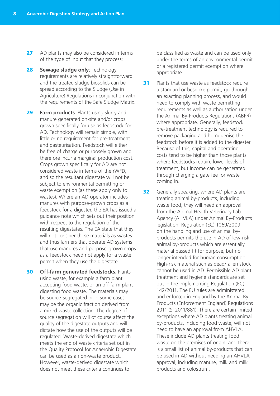- 27 AD plants may also be considered in terms of the type of input that they process:
- **28 Sewage sludge only: Technology** requirements are relatively straightforward and the treated sludge biosolids can be spread according to the Sludge (Use in Agriculture) Regulations in conjunction with the requirements of the Safe Sludge Matrix.
- **29 Farm products: Plants using slurry and** manure generated on-site and/or crops grown specifically for use as feedstock for AD. Technology will remain simple, with little or no requirement for pre-treatment and pasteurisation. Feedstock will either be free of charge or purposely grown and therefore incur a marginal production cost. Crops grown specifically for AD are not considered waste in terms of the rWFD, and so the resultant digestate will not be subject to environmental permitting or waste exemption (as these apply only to wastes). Where an AD operator includes manures with purpose-grown crops as a feedstock for a digester, the EA has issued a guidance note which sets out their position with respect to the regulation of the resulting digestates. The EA state that they will not consider these materials as wastes and thus farmers that operate AD systems that use manures and purpose-grown crops as a feedstock need not apply for a waste permit when they use the digestate.
- **30 Off-farm generated feedstocks: Plants** using waste, for example a farm plant accepting food waste, or an off-farm plant digesting food waste. The materials may be source-segregated or in some cases may be the organic fraction derived from a mixed waste collection. The degree of source segregation will of course affect the quality of the digestate outputs and will dictate how the use of the outputs will be regulated. Waste-derived digestate which meets the end of waste criteria set out in the Quality Protocol for Anaerobic Digestate can be used as a non-waste product. However, waste-derived digestate which does not meet these criteria continues to

be classified as waste and can be used only under the terms of an environmental permit or a registered permit exemption where appropriate.

- **31** Plants that use waste as feedstock require a standard or bespoke permit, go through an exacting planning process, and would need to comply with waste permitting requirements as well as authorisation under the Animal By-Products Regulations (ABPR) where appropriate. Generally, feedstock pre-treatment technology is required to remove packaging and homogenise the feedstock before it is added to the digester. Because of this, capital and operating costs tend to be higher than those plants where feedstocks require lower levels of treatment, but income can be generated through charging a gate fee for waste coming in.
- **32** Generally speaking, where AD plants are treating animal by-products, including waste food, they will need an approval from the Animal Health Veterinary Lab Agency (AHVLA) under Animal By-Products legislation. Regulation (EC) 1069/2009 on the handling and use of animal byproducts permits the use in AD of low-risk animal by-products which are essentially material passed fit for purpose, but no longer intended for human consumption. High-risk material such as dead/fallen stock cannot be used in AD. Permissible AD plant treatment and hygiene standards are set out in the Implementing Regulation (EC) 142/2011. The EU rules are administered and enforced in England by the Animal By-Products (Enforcement England) Regulations 2011 (SI 2011/881). There are certain limited exceptions where AD plants treating animal by-products, including food waste, will not need to have an approval from AHVLA. These include AD plants treating food waste on the premises of origin, and there is a small list of animal by-products that can be used in AD without needing an AHVLA approval, including manure, milk and milk products and colostrum.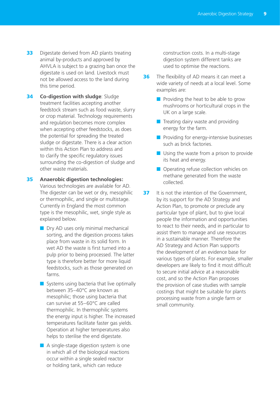- **33** Digestate derived from AD plants treating animal by-products and approved by AHVLA is subject to a grazing ban once the digestate is used on land. Livestock must not be allowed access to the land during this time period.
- **34 Co-digestion with sludge: Sludge** treatment facilities accepting another feedstock stream such as food waste, slurry or crop material. Technology requirements and regulation becomes more complex when accepting other feedstocks, as does the potential for spreading the treated sludge or digestate. There is a clear action within this Action Plan to address and to clarify the specific regulatory issues surrounding the co-digestion of sludge and other waste materials.
- 35 **Anaerobic digestion technologies:**  Various technologies are available for AD. The digester can be wet or dry, mesophilic or thermophilic, and single or multistage. Currently in England the most common type is the mesophilic, wet, single style as explained below.
	- Dry AD uses only minimal mechanical sorting, and the digestion process takes place from waste in its solid form. In wet AD the waste is first turned into a pulp prior to being processed. The latter type is therefore better for more liquid feedstocks, such as those generated on farms.
	- Systems using bacteria that live optimally between 35–40°C are known as mesophilic; those using bacteria that can survive at 55–60°C are called thermophilic. In thermophilic systems the energy input is higher. The increased temperatures facilitate faster gas yields. Operation at higher temperatures also helps to sterilise the end digestate.
	- A single-stage digestion system is one in which all of the biological reactions occur within a single sealed reactor or holding tank, which can reduce

construction costs. In a multi-stage digestion system different tanks are used to optimise the reactions.

- **36** The flexibility of AD means it can meet a wide variety of needs at a local level. Some examples are:
	- Providing the heat to be able to grow mushrooms or horticultural crops in the UK on a large scale.
	- Treating dairy waste and providing energy for the farm.
	- Providing for energy-intensive businesses such as brick factories.
	- Using the waste from a prison to provide its heat and energy.
	- Operating refuse collection vehicles on methane generated from the waste collected.
- **37** It is not the intention of the Government, by its support for the AD Strategy and Action Plan, to promote or preclude any particular type of plant, but to give local people the information and opportunities to react to their needs, and in particular to assist them to manage and use resources in a sustainable manner. Therefore the AD Strategy and Action Plan supports the development of an evidence base for various types of plants. For example, smaller developers are likely to find it most difficult to secure initial advice at a reasonable cost, and so the Action Plan proposes the provision of case studies with sample costings that might be suitable for plants processing waste from a single farm or small community.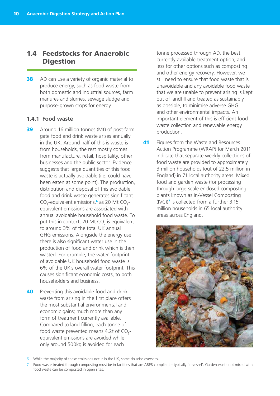## 1.4 Feedstocks for Anaerobic **Digestion**

**38** AD can use a variety of organic material to produce energy, such as food waste from both domestic and industrial sources, farm manures and slurries, sewage sludge and purpose-grown crops for energy.

#### **1.4.1 Food waste**

- **39** Around 16 million tonnes (Mt) of post-farm gate food and drink waste arises annually in the UK. Around half of this is waste is from households, the rest mostly comes from manufacture, retail, hospitality, other businesses and the public sector. Evidence suggests that large quantities of this food waste is actually avoidable (i.e. could have been eaten at some point). The production, distribution and disposal of this avoidable food and drink waste generates significant CO<sub>2</sub>-equivalent emissions,<sup>6</sup> as 20 Mt CO<sub>2</sub>equivalent emissions are associated with annual avoidable household food waste. To put this in context, 20 Mt CO<sub>2</sub> is equivalent to around 3% of the total UK annual GHG emissions. Alongside the energy use there is also significant water use in the production of food and drink which is then wasted. For example, the water footprint of avoidable UK household food waste is 6% of the UK's overall water footprint. This causes significant economic costs, to both householders and business.
- **40** Preventing this avoidable food and drink waste from arising in the first place offers the most substantial environmental and economic gains; much more than any form of treatment currently available. Compared to land filling, each tonne of food waste prevented means 4.2t of  $CO_{2}$ equivalent emissions are avoided while only around 500kg is avoided for each

tonne processed through AD, the best currently available treatment option, and less for other options such as composting and other energy recovery. However, we still need to ensure that food waste that is unavoidable and any avoidable food waste that we are unable to prevent arising is kept out of landfill and treated as sustainably as possible, to minimise adverse GHG and other environmental impacts. An important element of this is efficient food waste collection and renewable energy production.

**41** Figures from the Waste and Resources Action Programme (WRAP) for March 2011 indicate that separate weekly collections of food waste are provided to approximately 3 million households (out of 22.5 million in England) in 71 local authority areas. Mixed food and garden waste (for processing through large-scale enclosed composting plants known as In-Vessel Composting (IVC))**<sup>7</sup>** is collected from a further 3.15 million households in 65 local authority areas across England.



6 While the majority of these emissions occur in the UK, some do arise overseas.

<sup>7</sup> Food waste treated through composting must be in facilities that are ABPR compliant – typically 'in-vessel'. Garden waste not mixed with food waste can be composted in open sites.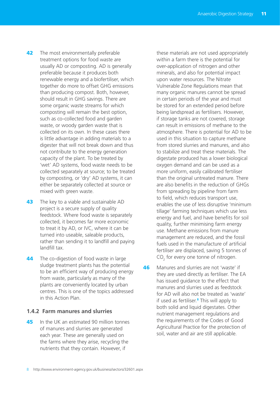- **42** The most environmentally preferable treatment options for food waste are usually AD or composting. AD is generally preferable because it produces both renewable energy and a biofertiliser, which together do more to offset GHG emissions than producing compost. Both, however, should result in GHG savings. There are some organic waste streams for which composting will remain the best option, such as co-collected food and garden waste, or woody garden waste that is collected on its own. In these cases there is little advantage in adding materials to a digester that will not break down and thus not contribute to the energy generation capacity of the plant. To be treated by 'wet' AD systems, food waste needs to be collected separately at source; to be treated by composting, or 'dry' AD systems, it can either be separately collected at source or mixed with green waste.
- **43** The key to a viable and sustainable AD project is a secure supply of quality feedstock. Where food waste is separately collected, it becomes far more economic to treat it by AD, or IVC, where it can be turned into useable, saleable products, rather than sending it to landfill and paying landfill tax.
- **44** The co-digestion of food waste in large sludge treatment plants has the potential to be an efficient way of producing energy from waste, particularly as many of the plants are conveniently located by urban centres. This is one of the topics addressed in this Action Plan.

#### **1.4.2 Farm manures and slurries**

**45** In the UK an estimated 90 million tonnes of manures and slurries are generated each year. These are generally used on the farms where they arise, recycling the nutrients that they contain. However, if

these materials are not used appropriately within a farm there is the potential for over-application of nitrogen and other minerals, and also for potential impact upon water resources. The Nitrate Vulnerable Zone Regulations mean that many organic manures cannot be spread in certain periods of the year and must be stored for an extended period before being landspread as fertilisers. However, if storage tanks are not covered, storage can result in emissions of methane to the atmosphere. There is potential for AD to be used in this situation to capture methane from stored slurries and manures, and also to stabilize and treat these materials. The digestate produced has a lower biological oxygen demand and can be used as a more uniform, easily calibrated fertiliser than the original untreated manure. There are also benefits in the reduction of GHGs from spreading by pipeline from farm to field, which reduces transport use, enables the use of less disruptive 'minimum tillage' farming techniques which use less energy and fuel, and have benefits for soil quality, further minimising farm energy use. Methane emissions from manure management are reduced, and the fossil fuels used in the manufacture of artificial fertiliser are displaced, saving 5 tonnes of  $CO<sub>2</sub>$  for every one tonne of nitrogen.

**46** Manures and slurries are not 'waste' if they are used directly as fertiliser. The EA has issued guidance to the effect that manures and slurries used as feedstock for AD will also not be treated as 'waste' if used as fertiliser.**<sup>8</sup>** This will apply to both solid and liquid digestates. Other nutrient management regulations and the requirements of the Codes of Good Agricultural Practice for the protection of soil, water and air are still applicable.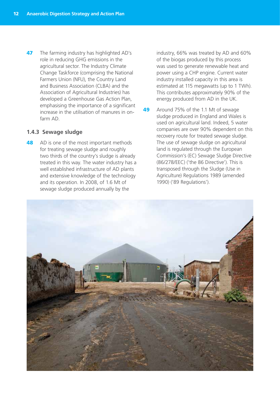**47** The farming industry has highlighted AD's role in reducing GHG emissions in the agricultural sector. The Industry Climate Change Taskforce (comprising the National Farmers Union (NFU), the Country Land and Business Association (CLBA) and the Association of Agricultural Industries) has developed a Greenhouse Gas Action Plan, emphasising the importance of a significant increase in the utilisation of manures in onfarm AD.

#### **1.4.3 Sewage sludge**

48 AD is one of the most important methods for treating sewage sludge and roughly two thirds of the country's sludge is already treated in this way. The water industry has a well established infrastructure of AD plants and extensive knowledge of the technology and its operation. In 2008, of 1.6 Mt of sewage sludge produced annually by the

industry, 66% was treated by AD and 60% of the biogas produced by this process was used to generate renewable heat and power using a CHP engine. Current water industry installed capacity in this area is estimated at 115 megawatts (up to 1 TWh). This contributes approximately 90% of the energy produced from AD in the UK.

49 Around 75% of the 1.1 Mt of sewage sludge produced in England and Wales is used on agricultural land. Indeed, 5 water companies are over 90% dependent on this recovery route for treated sewage sludge. The use of sewage sludge on agricultural land is regulated through the European Commission's (EC) Sewage Sludge Directive (86/278/EEC) ('the 86 Directive'). This is transposed through the Sludge (Use in Agriculture) Regulations 1989 (amended 1990) ('89 Regulations').

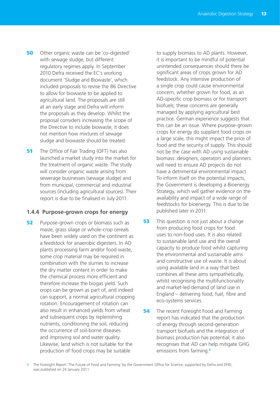- **50** Other organic waste can be 'co-digested' with sewage sludge, but different regulatory regimes apply. In September 2010 Defra received the EC's working document 'Sludge and Biowaste', which included proposals to revise the 86 Directive to allow for biowaste to be applied to agricultural land. The proposals are still at an early stage and Defra will inform the proposals as they develop. Whilst the proposal considers increasing the scope of the Directive to include biowaste, it does not mention how mixtures of sewage sludge and biowaste should be treated.
- **51** The Office of Fair Trading (OFT) has also launched a market study into the market for the treatment of organic waste. The study will consider organic waste arising from sewerage businesses (sewage sludge) and from municipal, commercial and industrial sources (including agricultural sources). Their report is due to be finalised in July 2011.

#### **1.4.4 Purpose-grown crops for energy**

**52** Purpose-grown crops or biomass such as maize, grass silage or whole-crop cereals have been widely used on the continent as a feedstock for anaerobic digesters. In AD plants processing farm and/or food waste, some crop material may be required in combination with the slurries to increase the dry matter content in order to make the chemical process more efficient and therefore increase the biogas yield. Such crops can be grown as part of, and indeed can support, a normal agricultural cropping rotation. Encouragement of rotation can also result in enhanced yields from wheat and subsequent crops by replenishing nutrients, conditioning the soil, reducing the occurrence of soil-borne diseases and improving soil and water quality. Likewise, land which is not suitable for the production of food crops may be suitable

to supply biomass to AD plants. However, it is important to be mindful of potential unintended consequences should there be significant areas of crops grown for AD feedstock. Any intensive production of a single crop could cause environmental concern, whether grown for food, as an AD-specific crop biomass or for transport biofuels; these concerns are generally managed by applying agricultural best practice. German experience suggests that this can be an issue. Where purpose-grown crops for energy do supplant food crops on a large scale, this might impact the price of food and the security of supply. This should not be the case with AD using sustainable biomass: designers, operators and planners will need to ensure AD projects do not have a detrimental environmental impact. To inform itself on the potential impacts, the Government is developing a Bioenergy Strategy, which will gather evidence on the availability and impact of a wide range of feedstocks for bioenergy. This is due to be published later in 2011.

- **53** This question is not just about a change from producing food crops for food uses to non-food uses. It is also related to sustainable land use and the overall capacity to produce food whilst capturing the environmental and sustainable aims and constructive use of waste. It is about using available land in a way that best combines all these aims sympathetically, whilst recognising the multifunctionality and market-led demand of land use in England – delivering food, fuel, fibre and eco-systems services.
- **54** The recent Foresight Food and Farming report has indicated that the production of energy through second-generation transport biofuels and the integration of biomass production has potential; it also recognises that AD can help mitigate GHG emissions from farming.**<sup>9</sup>**

<sup>9</sup> The Foresight Report 'The Future of Food and Farming' by the Government Office for Science, supported by Defra and DFID, was published on 24 January 2011.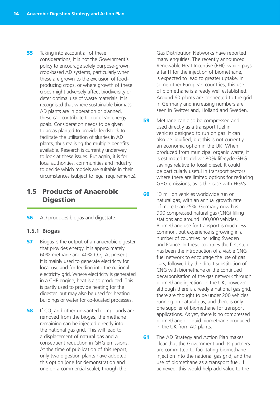**55** Taking into account all of these considerations, it is not the Government's policy to encourage solely purpose-grown crop-based AD systems, particularly when these are grown to the exclusion of foodproducing crops, or where growth of these crops might adversely affect biodiversity or deter optimal use of waste materials. It is recognised that where sustainable biomass AD plants are in operation or planned, these can contribute to our clean energy goals. Consideration needs to be given to areas planted to provide feedstock to facilitate the utilisation of slurries in AD plants, thus realising the multiple benefits available. Research is currently underway to look at these issues. But again, it is for local authorities, communities and industry to decide which models are suitable in their circumstances (subject to legal requirements).

## 1.5 Products of Anaerobic **Digestion**

**56** AD produces biogas and digestate.

#### **1.5.1 Biogas**

- **57** Biogas is the output of an anaerobic digester that provides energy. It is approximately 60% methane and 40%  $CO<sub>2</sub>$ . At present it is mainly used to generate electricity for local use and for feeding into the national electricity grid. Where electricity is generated in a CHP engine, heat is also produced. This is partly used to provide heating for the digester, but may also be used for heating buildings or water for co-located processes.
- **58** If  $CO<sub>2</sub>$  and other unwanted compounds are removed from the biogas, the methane remaining can be injected directly into the national gas grid. This will lead to a displacement of natural gas and a consequent reduction in GHG emissions. At the time of publication of this report, only two digestion plants have adopted this option (one for demonstration and one on a commercial scale), though the

Gas Distribution Networks have reported many enquiries. The recently announced Renewable Heat Incentive (RHI), which pays a tariff for the injection of biomethane, is expected to lead to greater uptake. In some other European countries, this use of biomethane is already well established. Around 60 plants are connected to the grid in Germany and increasing numbers are seen in Switzerland, Holland and Sweden.

- **59** Methane can also be compressed and used directly as a transport fuel in vehicles designed to run on gas. It can also be liquified, but this is not currently an economic option in the UK. When produced from municipal organic waste, it is estimated to deliver 80% lifecycle GHG savings relative to fossil diesel. It could be particularly useful in transport sectors where there are limited options for reducing GHG emissions, as is the case with HGVs.
- 60 13 million vehicles worldwide run on natural gas, with an annual growth rate of more than 25%. Germany now has 900 compressed natural gas (CNG) filling stations and around 100,000 vehicles. Biomethane use for transport is much less common, but experience is growing in a number of countries including Sweden and France. In these countries the first step has been the introduction of a viable CNG fuel network to encourage the use of gas cars, followed by the direct substitution of CNG with biomethane or the continued decarbonisation of the gas network through biomethane injection. In the UK, however, although there is already a national gas grid, there are thought to be under 200 vehicles running on natural gas, and there is only one supplier of biomethane for transport applications. As yet, there is no compressed biomethane or liquid biomethane produced in the UK from AD plants.
- **61** The AD Strategy and Action Plan makes clear that the Government and its partners are committed to facilitating biomethane injection into the national gas grid, and the use of biomethane as a transport fuel. If achieved, this would help add value to the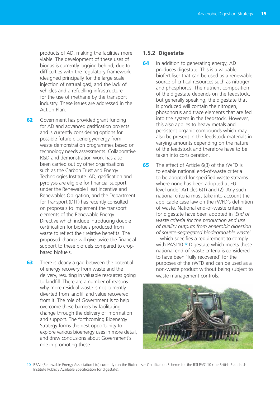products of AD, making the facilities more viable. The development of these uses of biogas is currently lagging behind, due to difficulties with the regulatory framework (designed principally for the large scale injection of natural gas), and the lack of vehicles and a refuelling infrastructure for the use of methane by the transport industry. These issues are addressed in the Action Plan.

- **62** Government has provided grant funding for AD and advanced gasification projects and is currently considering options for possible future bioenergy/energy from waste demonstration programmes based on technology needs assessments. Collaborative R&D and demonstration work has also been carried out by other organisations such as the Carbon Trust and Energy Technologies Institute. AD, gasification and pyrolysis are eligible for financial support under the Renewable Heat Incentive and Renewables Obligation, and the Department for Transport (DfT) has recently consulted on proposals to implement the transport elements of the Renewable Energy Directive which include introducing double certification for biofuels produced from waste to reflect their relative benefits. The proposed change will give twice the financial support to these biofuels compared to cropbased biofuels.
- **63** There is clearly a gap between the potential of energy recovery from waste and the delivery, resulting in valuable resources going to landfill. There are a number of reasons why more residual waste is not currently diverted from landfill and value recovered from it. The role of Government is to help overcome these barriers by facilitating change through the delivery of information and support. The forthcoming Bioenergy Strategy forms the best opportunity to explore various bioenergy uses in more detail, and draw conclusions about Government's role in promoting these.

#### **1.5.2 Digestate**

- **64** In addition to generating energy, AD produces digestate. This is a valuable biofertiliser that can be used as a renewable source of critical resources such as nitrogen and phosphorus. The nutrient composition of the digestate depends on the feedstock, but generally speaking, the digestate that is produced will contain the nitrogen, phosphorus and trace elements that are fed into the system in the feedstock. However, this also applies to heavy metals and persistent organic compounds which may also be present in the feedstock materials in varying amounts depending on the nature of the feedstock and therefore have to be taken into consideration.
- **65** The effect of Article 6(3) of the rWFD is to enable national end-of-waste criteria to be adopted for specified waste streams where none has been adopted at EUlevel under Articles 6(1) and (2). Any such national criteria must take into account the applicable case law on the rWFD's definition of waste. National end-of-waste criteria for digestate have been adopted in '*End of waste criteria for the production and use of quality outputs from anaerobic digestion of source-segregated biodegradable waste*' – which specifies a requirement to comply with PAS110.**<sup>10</sup>** Digestate which meets these national end-of-waste criteria is considered to have been 'fully recovered' for the purposes of the rWFD and can be used as a non-waste product without being subject to waste management controls.



10 REAL (Renewable Energy Association Ltd) currently run the Biofertiliser Certification Scheme for the BSI PAS110 (the British Standards Institute Publicly Available Specification for digestate).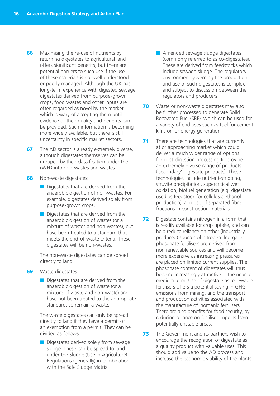- **66** Maximising the re-use of nutrients by returning digestates to agricultural land offers significant benefits, but there are potential barriers to such use if the use of these materials is not well understood or poorly managed. Although the UK has long-term experience with digested sewage, digestates derived from purpose-grown crops, food wastes and other inputs are often regarded as novel by the market, which is wary of accepting them until evidence of their quality and benefits can be provided. Such information is becoming more widely available, but there is still uncertainty in specific market sectors.
- **67** The AD sector is already extremely diverse, although digestates themselves can be grouped by their classification under the rWFD into non-wastes and wastes:
- **68** Non-waste digestates:
	- Digestates that are derived from the anaerobic digestion of non-wastes. For example, digestates derived solely from purpose-grown crops.
	- Digestates that are derived from the anaerobic digestion of wastes (or a mixture of wastes and non-wastes), but have been treated to a standard that meets the end-of-waste criteria. These digestates will be non-wastes.

The non-waste digestates can be spread directly to land.

- **69** Waste digestates:
	- Digestates that are derived from the anaerobic digestion of waste (or a mixture of waste and non-waste) and have not been treated to the appropriate standard, so remain a waste.

The waste digestates can only be spread directly to land if they have a permit or an exemption from a permit. They can be divided as follows:

■ Digestates derived solely from sewage sludge. These can be spread to land under the Sludge (Use in Agriculture) Regulations (generally) in combination with the Safe Sludge Matrix.

- Amended sewage sludge digestates (commonly referred to as co-digestates). These are derived from feedstocks which include sewage sludge. The regulatory environment governing the production and use of such digestates is complex and subject to discussion between the regulators and producers.
- **70** Waste or non-waste digestates may also be further processed to generate Solid Recovered Fuel (SRF), which can be used for a variety of end uses such as fuel for cement kilns or for energy generation.
- **71** There are technologies that are currently at or approaching market which could deliver a much wider range of options for post-digestion processing to provide an extremely diverse range of products ('secondary' digestate products). These technologies include nutrient-stripping, struvite precipitation, supercritical wet oxidation, biofuel generation (e.g. digestate used as feedstock for cellulosic ethanol production), and use of separated fibre fractions in construction materials.
- **72** Digestate contains nitrogen in a form that is readily available for crop uptake, and can help reduce reliance on other (industrially produced) sources of nitrogen. Inorganic phosphate fertilisers are derived from non renewable sources and will become more expensive as increasing pressures are placed on limited current supplies. The phosphate content of digestates will thus become increasingly attractive in the near to medium term. Use of digestate as renewable fertilisers offers a potential saving in GHG emissions from mining, and the transport and production activities associated with the manufacture of inorganic fertilisers. There are also benefits for food security, by reducing reliance on fertiliser imports from potentially unstable areas.
- **73** The Government and its partners wish to encourage the recognition of digestate as a quality product with valuable uses. This should add value to the AD process and increase the economic viability of the plants.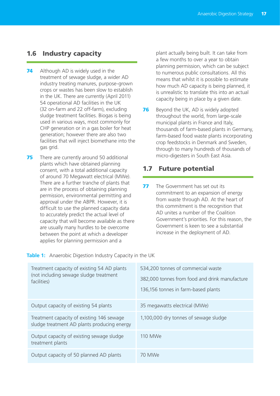## 1.6 Industry capacity

- 74 Although AD is widely used in the treatment of sewage sludge, a wider AD industry treating manures, purpose-grown crops or wastes has been slow to establish in the UK. There are currently (April 2011) 54 operational AD facilities in the UK (32 on-farm and 22 off-farm), excluding sludge treatment facilities. Biogas is being used in various ways, most commonly for CHP generation or in a gas boiler for heat generation; however there are also two facilities that will inject biomethane into the gas grid.
- **75** There are currently around 50 additional plants which have obtained planning consent, with a total additional capacity of around 70 Megawatt electrical (MWe). There are a further tranche of plants that are in the process of obtaining planning permission, environmental permitting and approval under the ABPR. However, it is difficult to use the planned capacity data to accurately predict the actual level of capacity that will become available as there are usually many hurdles to be overcome between the point at which a developer applies for planning permission and a

plant actually being built. It can take from a few months to over a year to obtain planning permission, which can be subject to numerous public consultations. All this means that whilst it is possible to estimate how much AD capacity is being planned, it is unrealistic to translate this into an actual capacity being in place by a given date.

**76** Beyond the UK, AD is widely adopted throughout the world, from large-scale municipal plants in France and Italy, thousands of farm-based plants in Germany, farm-based food waste plants incorporating crop feedstocks in Denmark and Sweden, through to many hundreds of thousands of micro-digesters in South East Asia.

## 1.7 Future potential

**77** The Government has set out its commitment to an expansion of energy from waste through AD. At the heart of this commitment is the recognition that AD unites a number of the Coalition Government's priorities. For this reason, the Government is keen to see a substantial increase in the deployment of AD.

| Treatment capacity of existing 54 AD plants<br>(not including sewage sludge treatment<br>facilities) | 534,200 tonnes of commercial waste<br>382,000 tonnes from food and drink manufacture<br>136,156 tonnes in farm-based plants |
|------------------------------------------------------------------------------------------------------|-----------------------------------------------------------------------------------------------------------------------------|
| Output capacity of existing 54 plants                                                                | 35 megawatts electrical (MWe)                                                                                               |
| Treatment capacity of existing 146 sewage<br>sludge treatment AD plants producing energy             | 1,100,000 dry tonnes of sewage sludge                                                                                       |
| Output capacity of existing sewage sludge<br>treatment plants                                        | 110 MWe                                                                                                                     |
| Output capacity of 50 planned AD plants                                                              | 70 MWe                                                                                                                      |

**Table 1:** Anaerobic Digestion Industry Capacity in the UK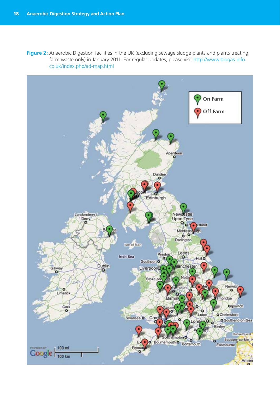**Figure 2:** Anaerobic Digestion facilities in the UK (excluding sewage sludge plants and plants treating farm waste only) in January 2011. For regular updates, please visit http://www.biogas-info. co.uk/index.php/ad-map.html

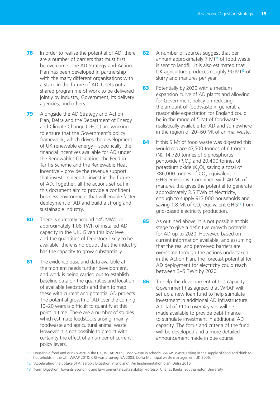- **78** In order to realise the potential of AD, there are a number of barriers that must first be overcome. The AD Strategy and Action Plan has been developed in partnership with the many different organisations with a stake in the future of AD. It sets out a shared programme of work to be delivered jointly by industry, Government, its delivery agencies, and others.
- **79** Alongside the AD Strategy and Action Plan, Defra and the Department of Energy and Climate Change (DECC) are working to ensure that the Government's policy framework, which drives the development of UK renewable energy – specifically, the financial incentives available for AD under the Renewables Obligation, the Feed-in Tariffs Scheme and the Renewable Heat Incentive – provide the revenue support that investors need to invest in the future of AD. Together, all the actions set out in this document aim to provide a confident business environment that will enable faster deployment of AD and build a strong and sustainable industry.
- 80 There is currently around 145 MWe or approximately 1.08 TWh of installed AD capacity in the UK. Given this low level and the quantities of feedstock likely to be available, there is no doubt that the industry has the capacity to grow substantially.
- 81 The evidence base and data available at the moment needs further development, and work is being carried out to establish baseline data on the quantities and location of available feedstocks and then to map these with current and potential AD projects. The potential growth of AD over the coming 10–20 years is difficult to quantify at this point in time. There are a number of studies which estimate feedstocks arising, mainly foodwaste and agricultural animal waste. However it is not possible to predict with certainty the effect of a number of current policy levers.
- 82 A number of sources suggest that per annum approximately 7 Mt**11** of food waste is sent to landfill. It is also estimated that UK agriculture produces roughly 90 Mt**12** of slurry and manures per year.
- 83 Potentially by 2020 with a medium expansion curve of AD plants and allowing for Government policy on reducing the amount of foodwaste in general, a reasonable expectation for England could be in the range of 5 Mt of foodwaste realistically available for AD and somewhere in the region of 20–60 Mt of animal waste.
- 84 If this 5 Mt of food waste was digested this would replace 47,500 tonnes of nitrogen (N), 14,720 tonnes of diphosphorus pentoxide  $(P_2O_5)$  and 20,400 tonnes of potassium oxide ( $K<sub>2</sub>$ O), saving a total of 386,000 tonnes of  $CO<sub>2</sub>$ -equivalent in GHG emissions. Combined with 40 Mt of manures this gives the potential to generate approximately 3.5 TWh of electricity, enough to supply 913,000 households and saving 1.8 Mt of CO<sub>2</sub>-equivalent GHG<sup>13</sup> from grid-based electricity production.
- 85 As outlined above, it is not possible at this stage to give a definitive growth potential for AD up to 2020. However, based on current information available, and assuming that the real and perceived barriers are overcome through the actions undertaken in the Action Plan, the forecast potential for AD deployment for electricity could reach between 3–5 TWh by 2020.
- 86 To help the development of this capacity, Government has agreed that WRAP will set up a new loan fund to help stimulate investment in additional AD infrastructure. A total of £10m over 4 years will be made available to provide debt finance to stimulate investment in additional AD capacity. The focus and criteria of the fund will be developed and a more detailed announcement made in due course.

13 'Farm Digestion' Towards Economic and Environmental sustainability, Professor Charles Banks, Southampton University.

<sup>11</sup> Household food and drink waste in the UK, WRAP 2009; Food waste in schools, WRAP; Waste arising in the supply of food and drink to households in the UK, WRAP 2010; C&I waste survey, EA 2003; Defra Municipal waste management UK 2006.

<sup>12</sup> 'Accelerating the uptake of Anaerobic Digestion in England': An Implementation plan, Defra 2010.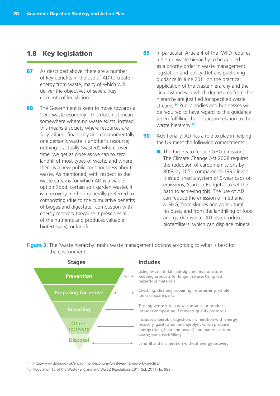#### 1.8 Key legislation

- 87 As described above, there are a number of key benefits in the use of AD to create energy from waste, many of which will deliver the objectives of several key elements of legislation.
- 88 The Government is keen to move towards a 'zero waste economy'. This does not mean somewhere where no waste exists. Instead, this means a society where resources are fully valued, financially and environmentally; one person's waste is another's resource; nothing is actually 'wasted'; where, over time, we get as close as we can to zero landfill of most types of waste, and where there is a new public consciousness about waste. As mentioned, with respect to the waste streams for which AD is a viable option (food, certain soft garden waste), it is a recovery method generally preferred to composting (due to the cumulative benefits of biogas and digestate), combustion with energy recovery (because it preserves all of the nutrients and produces valuable biofertilisers), or landfill.
- 89 In particular, Article 4 of the rWFD requires a 5-step waste hierarchy to be applied as a priority order in waste management legislation and policy. Defra is publishing guidance in June 2011 on the practical application of the waste hierarchy and the circumstances in which departures from the hierarchy are justified for specified waste streams.**<sup>14</sup>** Public bodies and businesses will be required to have regard to this guidance when fulfilling their duties in relation to the waste hierarchy.**<sup>15</sup>**
- **90** Additionally, AD has a role to play in helping the UK meet the following commitments:
	- The targets to reduce GHG emissions. The Climate Change Act 2008 requires the reduction of carbon emissions by 80% by 2050 compared to 1990 levels. It established a system of 5-year caps on emissions, 'Carbon Budgets', to set the path to achieving this. The use of AD can reduce the emission of methane, a GHG, from slurries and agricultural residues, and from the landfilling of food and garden waste. AD also produces biofertilisers, which can displace mineral





#### **Includes**

Using less material in design and manufacture. Keeping products for longer; re use. Using less hazardous materials

Checking, cleaning, repairing, refurbishing, whole items or spare parts

Turning waste into a new substance or product. Includes composting if it meets quality protocols

Includes anaerobic digestion, incineration with energy recovery, gasification and pyrolysis which produce energy (fuels, heat and power) and materials from waste; some backfilling

Landfill and incineration without energy recovery

- 14 http://www.defra.gov.uk/environment/economy/waste/eu-framework-directive/
- 15 Regulation 15 of the Waste (England and Wales) Regulations 2011 (S.I. 2011 No. 988).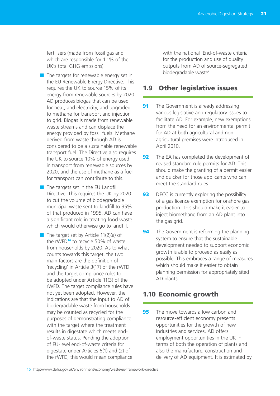fertilisers (made from fossil gas and which are responsible for 1.1% of the UK's total GHG emissions).

- $\blacksquare$  The targets for renewable energy set in the EU Renewable Energy Directive. This requires the UK to source 15% of its energy from renewable sources by 2020. AD produces biogas that can be used for heat, and electricity, and upgraded to methane for transport and injection to grid. Biogas is made from renewable waste streams and can displace the energy provided by fossil fuels. Methane derived from waste through AD is considered to be a sustainable renewable transport fuel. The Directive also requires the UK to source 10% of energy used in transport from renewable sources by 2020, and the use of methane as a fuel for transport can contribute to this.
- The targets set in the EU Landfill Directive. This requires the UK by 2020 to cut the volume of biodegradable municipal waste sent to landfill to 35% of that produced in 1995. AD can have a significant role in treating food waste which would otherwise go to landfill.
- $\blacksquare$  The target set by Article 11(2)(a) of the rWFD**<sup>16</sup>** to recycle 50% of waste from households by 2020. As to what counts towards this target, the two main factors are the definition of 'recycling' in Article 3(17) of the rWFD and the target compliance rules to be adopted under Article 11(3) of the rWFD. The target compliance rules have not yet been adopted. However, the indications are that the input to AD of biodegradable waste from households may be counted as recycled for the purposes of demonstrating compliance with the target where the treatment results in digestate which meets endof-waste status. Pending the adoption of EU-level end-of-waste criteria for digestate under Articles 6(1) and (2) of the rWFD, this would mean compliance

with the national 'End-of-waste criteria for the production and use of quality outputs from AD of source-segregated biodegradable waste'.

## 1.9 Other legislative issues

- **91** The Government is already addressing various legislative and regulatory issues to facilitate AD. For example, new exemptions from the need for an environmental permit for AD at both agricultural and nonagricultural premises were introduced in April 2010.
- **92** The EA has completed the development of revised standard rule permits for AD. This should make the granting of a permit easier and quicker for those applicants who can meet the standard rules.
- **93** DECC is currently exploring the possibility of a gas licence exemption for onshore gas production. This should make it easier to inject biomethane from an AD plant into the gas grid.
- **94** The Government is reforming the planning system to ensure that the sustainable development needed to support economic growth is able to proceed as easily as possible. This embraces a range of measures which should make it easier to obtain planning permission for appropriately sited AD plants.

## 1.10 Economic growth

**95** The move towards a low carbon and resource-efficient economy presents opportunities for the growth of new industries and services. AD offers employment opportunities in the UK in terms of both the operation of plants and also the manufacture, construction and delivery of AD equipment. It is estimated by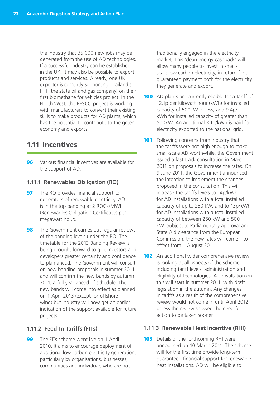the industry that 35,000 new jobs may be generated from the use of AD technologies. If a successful industry can be established in the UK, it may also be possible to export products and services. Already, one UK exporter is currently supporting Thailand's PTT (the state oil and gas company) on their first biomethane for vehicles project. In the North West, the RESCO project is working with manufacturers to convert their existing skills to make products for AD plants, which has the potential to contribute to the green economy and exports.

## 1.11 Incentives

**96** Various financial incentives are available for the support of AD.

#### **1.11.1 Renewables Obligation (RO)**

- **97** The RO provides financial support to generators of renewable electricity. AD is in the top banding at 2 ROCs/MWh (Renewables Obligation Certificates per megawatt hour).
- **98** The Government carries out regular reviews of the banding levels under the RO. The timetable for the 2013 Banding Review is being brought forward to give investors and developers greater certainty and confidence to plan ahead. The Government will consult on new banding proposals in summer 2011 and will confirm the new bands by autumn 2011, a full year ahead of schedule. The new bands will come into effect as planned on 1 April 2013 (except for offshore wind) but industry will now get an earlier indication of the support available for future projects.

#### **1.11.2 Feed-In Tariffs (FITs)**

**99** The FiTs scheme went live on 1 April 2010. It aims to encourage deployment of additional low carbon electricity generation, particularly by organisations, businesses, communities and individuals who are not

traditionally engaged in the electricity market. This 'clean energy cashback' will allow many people to invest in smallscale low carbon electricity, in return for a guaranteed payment both for the electricity they generate and export.

- **100** AD plants are currently eligible for a tariff of 12.1p per kilowatt hour (kWh) for installed capacity of 500kW or less, and 9.4p/ kWh for installed capacity of greater than 500kW. An additional 3.1p/kWh is paid for electricity exported to the national grid.
- **101** Following concerns from industry that the tariffs were not high enough to make small-scale AD worthwhile, the Government issued a fast-track consultation in March 2011 on proposals to increase the rates. On 9 June 2011, the Government announced the intention to implement the changes proposed in the consultation. This will increase the tariffs levels to 14p/kWh for AD installations with a total installed capacity of up to 250 kW, and to 13p/kWh for AD installations with a total installed capacity of between 250 kW and 500 kW. Subject to Parliamentary approval and State Aid clearance from the European Commission, the new rates will come into effect from 1 August 2011.
- **102** An additional wider comprehensive review is looking at all aspects of the scheme, including tariff levels, administration and eligibility of technologies. A consultation on this will start in summer 2011, with draft legislation in the autumn. Any changes in tariffs as a result of the comprehensive review would not come in until April 2012, unless the review showed the need for action to be taken sooner.

#### **1.11.3 Renewable Heat Incentive (RHI)**

**103** Details of the forthcoming RHI were announced on 10 March 2011. The scheme will for the first time provide long-term guaranteed financial support for renewable heat installations. AD will be eligible to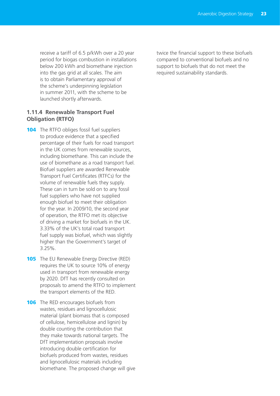receive a tariff of 6.5 p/kWh over a 20 year period for biogas combustion in installations below 200 kWh and biomethane injection into the gas grid at all scales. The aim is to obtain Parliamentary approval of the scheme's underpinning legislation in summer 2011, with the scheme to be launched shortly afterwards.

#### **1.11.4 Renewable Transport Fuel Obligation (RTFO)**

- 104 The RTFO obliges fossil fuel suppliers to produce evidence that a specified percentage of their fuels for road transport in the UK comes from renewable sources, including biomethane. This can include the use of biomethane as a road transport fuel. Biofuel suppliers are awarded Renewable Transport Fuel Certificates (RTFCs) for the volume of renewable fuels they supply. These can in turn be sold on to any fossil fuel suppliers who have not supplied enough biofuel to meet their obligation for the year. In 2009/10, the second year of operation, the RTFO met its objective of driving a market for biofuels in the UK. 3.33% of the UK's total road transport fuel supply was biofuel, which was slightly higher than the Government's target of 3.25%.
- **105** The EU Renewable Energy Directive (RED) requires the UK to source 10% of energy used in transport from renewable energy by 2020. DfT has recently consulted on proposals to amend the RTFO to implement the transport elements of the RED.
- **106** The RED encourages biofuels from wastes, residues and lignocellulosic material (plant biomass that is composed of cellulose, hemicellulose and lignin) by double counting the contribution that they make towards national targets. The DfT implementation proposals involve introducing double certification for biofuels produced from wastes, residues and lignocellulosic materials including biomethane. The proposed change will give

twice the financial support to these biofuels compared to conventional biofuels and no support to biofuels that do not meet the required sustainability standards.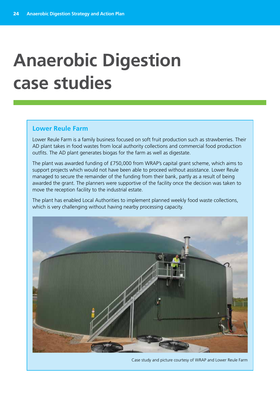# **Anaerobic Digestion case studies**

#### **Lower Reule Farm**

Lower Reule Farm is a family business focused on soft fruit production such as strawberries. Their AD plant takes in food wastes from local authority collections and commercial food production outfits. The AD plant generates biogas for the farm as well as digestate.

The plant was awarded funding of £750,000 from WRAP's capital grant scheme, which aims to support projects which would not have been able to proceed without assistance. Lower Reule managed to secure the remainder of the funding from their bank, partly as a result of being awarded the grant. The planners were supportive of the facility once the decision was taken to move the reception facility to the industrial estate.

The plant has enabled Local Authorities to implement planned weekly food waste collections, which is very challenging without having nearby processing capacity.



Case study and picture courtesy of WRAP and Lower Reule Farm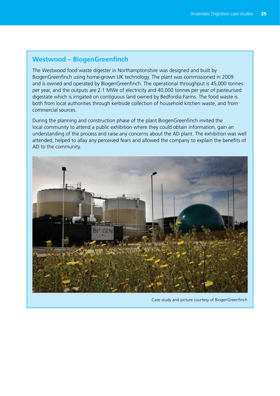### **Westwood – BiogenGreenfinch**

The Westwood food waste digester in Northamptonshire was designed and built by BiogenGreenfinch using home-grown UK technology. The plant was commissioned in 2009 and is owned and operated by BiogenGreenfinch. The operational throughput is 45,000 tonnes per year, and the outputs are 2.1 MWe of electricity and 40,000 tonnes per year of pasteurised digestate which is irrigated on contiguous land owned by Bedfordia Farms. The food waste is both from local authorities through kerbside collection of household kitchen waste, and from commercial sources.

During the planning and construction phase of the plant BiogenGreenfinch invited the local community to attend a public exhibition where they could obtain information, gain an understanding of the process and raise any concerns about the AD plant. The exhibition was well attended, helped to allay any perceived fears and allowed the company to explain the benefits of AD to the community.



Case study and picture courtesy of BiogenGreenfinch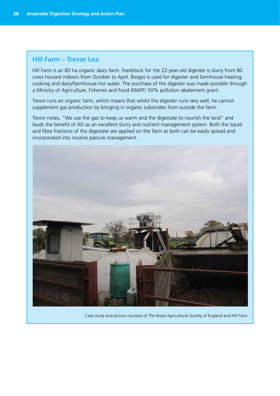### **Hill Farm – Trevor Lea**

Hill Farm is an 80 ha organic dairy farm. Feedstock for the 22-year-old digester is slurry from 80 cows housed indoors from October to April. Biogas is used for digester and farmhouse heating, cooking and dairy/farmhouse hot water. The purchase of the digester was made possible through a Ministry of Agriculture, Fisheries and Food (MAFF) 50% pollution abatement grant.

Trevor runs an organic farm, which means that whilst the digester runs very well, he cannot supplement gas production by bringing in organic substrates from outside the farm.

Trevor notes, "We use the gas to keep us warm and the digestate to nourish the land" and lauds the benefit of AD as an excellent slurry and nutrient management system. Both the liquid and fibre fractions of the digestate are applied on the farm as both can be easily spread and incorporated into routine pasture management.



Case study and picture courtesy of The Royal Agricultural Society of England and Hill Farm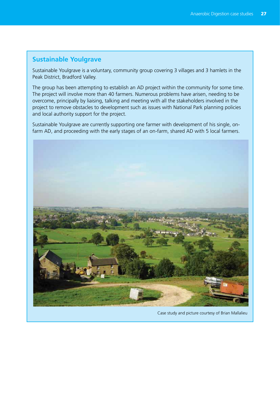### **Sustainable Youlgrave**

Sustainable Youlgrave is a voluntary, community group covering 3 villages and 3 hamlets in the Peak District, Bradford Valley.

The group has been attempting to establish an AD project within the community for some time. The project will involve more than 40 farmers. Numerous problems have arisen, needing to be overcome, principally by liaising, talking and meeting with all the stakeholders involved in the project to remove obstacles to development such as issues with National Park planning policies and local authority support for the project.

Sustainable Youlgrave are currently supporting one farmer with development of his single, onfarm AD, and proceeding with the early stages of an on-farm, shared AD with 5 local farmers.



Case study and picture courtesy of Brian Mallalieu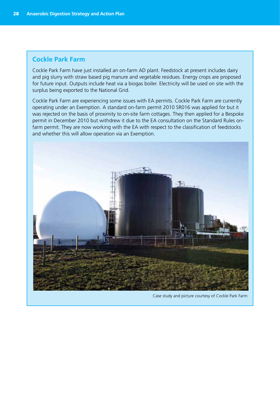## **Cockle Park Farm**

Cockle Park Farm have just installed an on-farm AD plant. Feedstock at present includes dairy and pig slurry with straw based pig manure and vegetable residues. Energy crops are proposed for future input. Outputs include heat via a biogas boiler. Electricity will be used on site with the surplus being exported to the National Grid.

Cockle Park Farm are experiencing some issues with EA permits. Cockle Park Farm are currently operating under an Exemption. A standard on-farm permit 2010 SR016 was applied for but it was rejected on the basis of proximity to on-site farm cottages. They then applied for a Bespoke permit in December 2010 but withdrew it due to the EA consultation on the Standard Rules onfarm permit. They are now working with the EA with respect to the classification of feedstocks and whether this will allow operation via an Exemption.



Case study and picture courtesy of Cockle Park Farm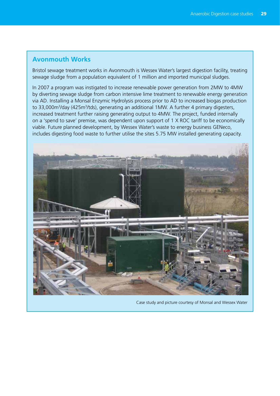### **Avonmouth Works**

Bristol sewage treatment works in Avonmouth is Wessex Water's largest digestion facility, treating sewage sludge from a population equivalent of 1 million and imported municipal sludges.

In 2007 a program was instigated to increase renewable power generation from 2MW to 4MW by diverting sewage sludge from carbon intensive lime treatment to renewable energy generation via AD. Installing a Monsal Enzymic Hydrolysis process prior to AD to increased biogas production to 33,000m<sup>3</sup>/day (425m<sup>3</sup>/tds), generating an additional 1MW. A further 4 primary digesters, increased treatment further raising generating output to 4MW. The project, funded internally on a 'spend to save' premise, was dependent upon support of 1 X ROC tariff to be economically viable. Future planned development, by Wessex Water's waste to energy business GENeco, includes digesting food waste to further utilise the sites 5.75 MW installed generating capacity.



Case study and picture courtesy of Monsal and Wessex Water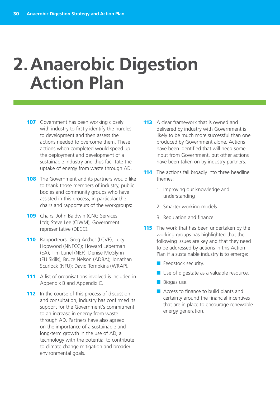## **2. Anaerobic Digestion Action Plan**

- **107** Government has been working closely with industry to firstly identify the hurdles to development and then assess the actions needed to overcome them. These actions when completed would speed up the deployment and development of a sustainable industry and thus facilitate the uptake of energy from waste through AD.
- **108** The Government and its partners would like to thank those members of industry, public bodies and community groups who have assisted in this process, in particular the chairs and rapporteurs of the workgroups:
- 109 Chairs: John Baldwin (CNG Services Ltd); Steve Lee (CIWM); Government representative (DECC).
- **110** Rapporteurs: Greg Archer (LCVP); Lucy Hopwood (NNFCC); Howard Leberman (EA); Tim Lunel (NEF); Denise McGlynn (EU Skills); Bruce Nelson (ADBA); Jonathan Scurlock (NFU); David Tompkins (WRAP).
- 111 A list of organisations involved is included in Appendix B and Appendix C.
- 112 In the course of this process of discussion and consultation, industry has confirmed its support for the Government's commitment to an increase in energy from waste through AD. Partners have also agreed on the importance of a sustainable and long-term growth in the use of AD, a technology with the potential to contribute to climate change mitigation and broader environmental goals.
- 113 A clear framework that is owned and delivered by industry with Government is likely to be much more successful than one produced by Government alone. Actions have been identified that will need some input from Government, but other actions have been taken on by industry partners.
- **114** The actions fall broadly into three headline themes:
	- 1. Improving our knowledge and understanding
	- 2. Smarter working models
	- 3. Regulation and finance
- **115** The work that has been undertaken by the working groups has highlighted that the following issues are key and that they need to be addressed by actions in this Action Plan if a sustainable industry is to emerge:
	- **E** Feedstock security.
	- Use of digestate as a valuable resource.
	- Biogas use.
	- Access to finance to build plants and certainty around the financial incentives that are in place to encourage renewable energy generation.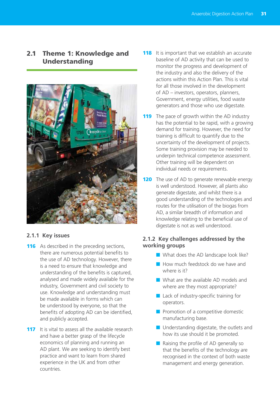## 2.1 Theme 1: Knowledge and Understanding



### **2.1.1 Key issues**

- **116** As described in the preceding sections, there are numerous potential benefits to the use of AD technology. However, there is a need to ensure that knowledge and understanding of the benefits is captured, analysed and made widely available for the industry, Government and civil society to use. Knowledge and understanding must be made available in forms which can be understood by everyone, so that the benefits of adopting AD can be identified, and publicly accepted.
- **117** It is vital to assess all the available research and have a better grasp of the lifecycle economics of planning and running an AD plant. We are seeking to identify best practice and want to learn from shared experience in the UK and from other countries.
- **118** It is important that we establish an accurate baseline of AD activity that can be used to monitor the progress and development of the industry and also the delivery of the actions within this Action Plan. This is vital for all those involved in the development of AD – investors, operators, planners, Government, energy utilities, food waste generators and those who use digestate.
- **119** The pace of growth within the AD industry has the potential to be rapid, with a growing demand for training. However, the need for training is difficult to quantify due to the uncertainty of the development of projects. Some training provision may be needed to underpin technical competence assessment. Other training will be dependent on individual needs or requirements.
- 120 The use of AD to generate renewable energy is well understood. However, all plants also generate digestate, and whilst there is a good understanding of the technologies and routes for the utilisation of the biogas from AD, a similar breadth of information and knowledge relating to the beneficial use of digestate is not as well understood.

#### **2.1.2 Key challenges addressed by the working groups**

- What does the AD landscape look like?
- How much feedstock do we have and where is it?
- What are the available AD models and where are they most appropriate?
- Lack of industry-specific training for operators.
- Promotion of a competitive domestic manufacturing base.
- Understanding digestate, the outlets and how its use should it be promoted.
- Raising the profile of AD generally so that the benefits of the technology are recognised in the context of both waste management and energy generation.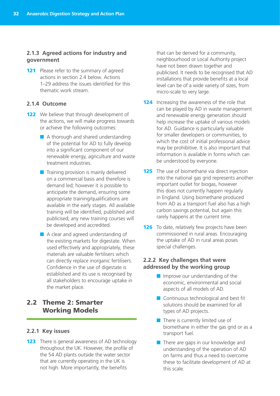#### **2.1.3 Agreed actions for industry and government**

121 Please refer to the summary of agreed actions in section 2.4 below. Actions 1–29 address the issues identified for this thematic work stream.

#### **2.1.4 Outcome**

- **122** We believe that through development of the actions, we will make progress towards or achieve the following outcomes:
	- A thorough and shared understanding of the potential for AD to fully develop into a significant component of our renewable energy, agriculture and waste treatment industries.
	- Training provision is mainly delivered on a commercial basis and therefore is demand led; however it is possible to anticipate the demand, ensuring some appropriate training/qualifications are available in the early stages. All available training will be identified, published and publicised; any new training courses will be developed and accredited.
	- A clear and agreed understanding of the existing markets for digestate. When used effectively and appropriately, these materials are valuable fertilisers which can directly replace inorganic fertilisers. Confidence in the use of digestate is established and its use is recognised by all stakeholders to encourage uptake in the market place.

## 2.2 Theme 2: Smarter Working Models

#### **2.2.1 Key issues**

**123** There is general awareness of AD technology throughout the UK. However, the profile of the 54 AD plants outside the water sector that are currently operating in the UK is not high. More importantly, the benefits

that can be derived for a community, neighbourhood or Local Authority project have not been drawn together and publicised. It needs to be recognised that AD installations that provide benefits at a local level can be of a wide variety of sizes, from micro-scale to very large.

- **124** Increasing the awareness of the role that can be played by AD in waste management and renewable energy generation should help increase the uptake of various models for AD. Guidance is particularly valuable for smaller developers or communities, to which the cost of initial professional advice may be prohibitive. It is also important that information is available in forms which can be understood by everyone.
- **125** The use of biomethane via direct injection into the national gas grid represents another important outlet for biogas, however this does not currently happen regularly in England. Using biomethane produced from AD as a transport fuel also has a high carbon savings potential, but again this rarely happens at the current time.
- **126** To date, relatively few projects have been commissioned in rural areas. Encouraging the uptake of AD in rural areas poses special challenges.

#### **2.2.2 Key challenges that were addressed by the working group**

- Improve our understanding of the economic, environmental and social aspects of all models of AD.
- Continuous technological and best fit solutions should be examined for all types of AD projects.
- There is currently limited use of biomethane in either the gas grid or as a transport fuel.
- There are gaps in our knowledge and understanding of the operation of AD on farms and thus a need to overcome these to facilitate development of AD at this scale.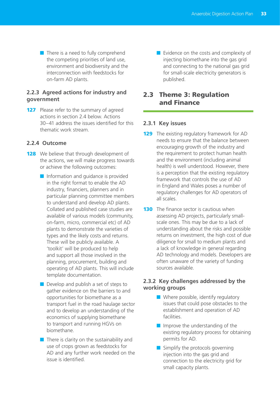■ There is a need to fully comprehend the competing priorities of land use, environment and biodiversity and the interconnection with feedstocks for on-farm AD plants.

#### **2.2.3 Agreed actions for industry and government**

127 Please refer to the summary of agreed actions in section 2.4 below. Actions 30–41 address the issues identified for this thematic work stream.

#### **2.2.4 Outcome**

- **128** We believe that through development of the actions, we will make progress towards or achieve the following outcomes:
	- Information and quidance is provided in the right format to enable the AD industry, financiers, planners and in particular planning committee members to understand and develop AD plants. Collated and published case studies are available of various models (community, on-farm, micro, commercial etc) of AD plants to demonstrate the varieties of types and the likely costs and returns. These will be publicly available. A 'toolkit' will be produced to help and support all those involved in the planning, procurement, building and operating of AD plants. This will include template documentation.
	- Develop and publish a set of steps to gather evidence on the barriers to and opportunities for biomethane as a transport fuel in the road haulage sector and to develop an understanding of the economics of supplying biomethane to transport and running HGVs on biomethane.
	- There is clarity on the sustainability and use of crops grown as feedstocks for AD and any further work needed on the issue is identified.

■ Evidence on the costs and complexity of injecting biomethane into the gas grid and connecting to the national gas grid for small-scale electricity generators is published.

## 2.3 Theme 3: Regulation and Finance

#### **2.3.1 Key issues**

- **129** The existing regulatory framework for AD needs to ensure that the balance between encouraging growth of the industry and the requirement to protect human health and the environment (including animal health) is well understood. However, there is a perception that the existing regulatory framework that controls the use of AD in England and Wales poses a number of regulatory challenges for AD operators of all scales.
- **130** The finance sector is cautious when assessing AD projects, particularly smallscale ones. This may be due to a lack of understanding about the risks and possible returns on investment, the high cost of due diligence for small to medium plants and a lack of knowledge in general regarding AD technology and models. Developers are often unaware of the variety of funding sources available.

#### **2.3.2 Key challenges addressed by the working groups**

- Where possible, identify regulatory issues that could pose obstacles to the establishment and operation of AD facilities.
- Improve the understanding of the existing regulatory process for obtaining permits for AD.
- Simplify the protocols governing injection into the gas grid and connection to the electricity grid for small capacity plants.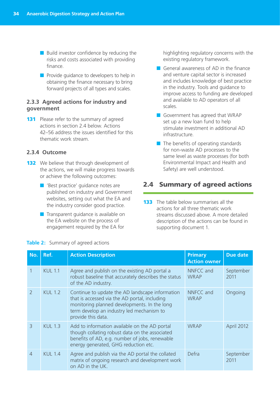■ Build investor confidence by reducing the risks and costs associated with providing finance.

■ Provide quidance to developers to help in obtaining the finance necessary to bring forward projects of all types and scales.

#### **2.3.3 Agreed actions for industry and government**

**131** Please refer to the summary of agreed actions in section 2.4 below. Actions 42–56 address the issues identified for this thematic work stream.

#### **2.3.4 Outcome**

- **132** We believe that through development of the actions, we will make progress towards or achieve the following outcomes:
	- 'Best practice' guidance notes are published on industry and Government websites, setting out what the EA and the industry consider good practice.
	- Transparent quidance is available on the EA website on the process of engagement required by the EA for

highlighting regulatory concerns with the existing regulatory framework.

- General awareness of AD in the finance and venture capital sector is increased and includes knowledge of best practice in the industry. Tools and guidance to improve access to funding are developed and available to AD operators of all scales.
- Government has agreed that WRAP set up a new loan fund to help stimulate investment in additional AD infrastructure.
- The benefits of operating standards for non-waste AD processes to the same level as waste processes (for both Environmental Impact and Health and Safety) are well understood.

#### 2.4 Summary of agreed actions

133 The table below summarises all the actions for all three thematic work streams discussed above. A more detailed description of the actions can be found in supporting document 1.

| No.            | Ref.           | <b>Action Description</b>                                                                                                                                                                                           | <b>Primary</b><br><b>Action owner</b> | <b>Due date</b>   |
|----------------|----------------|---------------------------------------------------------------------------------------------------------------------------------------------------------------------------------------------------------------------|---------------------------------------|-------------------|
|                | <b>KUL 1.1</b> | Agree and publish on the existing AD portal a<br>robust baseline that accurately describes the status<br>of the AD industry.                                                                                        | NNFCC and<br><b>WRAP</b>              | September<br>2011 |
| $\overline{2}$ | <b>KUL 1.2</b> | Continue to update the AD landscape information<br>that is accessed via the AD portal, including<br>monitoring planned developments. In the long<br>term develop an industry led mechanism to<br>provide this data. | NNFCC and<br><b>WRAP</b>              | Ongoing           |
| 3              | <b>KUL 1.3</b> | Add to information available on the AD portal<br>though collating robust data on the associated<br>benefits of AD, e.g. number of jobs, renewable<br>energy generated, GHG reduction etc.                           | <b>WRAP</b>                           | April 2012        |
| $\overline{4}$ | <b>KUL 1.4</b> | Agree and publish via the AD portal the collated<br>matrix of ongoing research and development work<br>on AD in the UK.                                                                                             | Defra                                 | September<br>2011 |

#### **Table 2:** Summary of agreed actions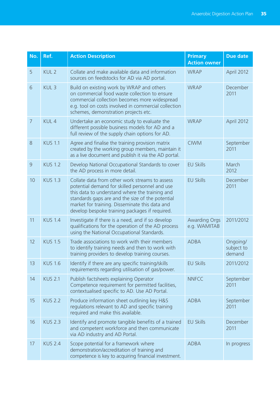| No.            | Ref.             | <b>Action Description</b>                                                                                                                                                                                                                                                                                  | <b>Primary</b><br><b>Action owner</b> | <b>Due date</b>                  |
|----------------|------------------|------------------------------------------------------------------------------------------------------------------------------------------------------------------------------------------------------------------------------------------------------------------------------------------------------------|---------------------------------------|----------------------------------|
| 5              | KUL <sub>2</sub> | Collate and make available data and information<br>sources on feedstocks for AD via AD portal.                                                                                                                                                                                                             | <b>WRAP</b>                           | April 2012                       |
| 6              | KUL <sub>3</sub> | Build on existing work by WRAP and others<br>on commercial food waste collection to ensure<br>commercial collection becomes more widespread<br>e.g. tool on costs involved in commercial collection<br>schemes, demonstration projects etc.                                                                | <b>WRAP</b>                           | December<br>2011                 |
| $\overline{7}$ | KUL 4            | Undertake an economic study to evaluate the<br>different possible business models for AD and a<br>full review of the supply chain options for AD.                                                                                                                                                          | <b>WRAP</b>                           | April 2012                       |
| 8              | <b>KUS 1.1</b>   | Agree and finalise the training provision matrix<br>created by the working group members, maintain it<br>as a live document and publish it via the AD portal.                                                                                                                                              | <b>CIWM</b>                           | September<br>2011                |
| $\overline{9}$ | <b>KUS 1.2</b>   | Develop National Occupational Standards to cover<br>the AD process in more detail.                                                                                                                                                                                                                         | <b>EU Skills</b>                      | March<br>2012                    |
| 10             | <b>KUS 1.3</b>   | Collate data from other work streams to assess<br>potential demand for skilled personnel and use<br>this data to understand where the training and<br>standards gaps are and the size of the potential<br>market for training. Disseminate this data and<br>develop bespoke training packages if required. | <b>EU Skills</b>                      | December<br>2011                 |
| 11             | <b>KUS 1.4</b>   | Investigate if there is a need, and if so develop<br>qualifications for the operation of the AD process<br>using the National Occupational Standards.                                                                                                                                                      | <b>Awarding Orgs</b><br>e.g. WAMITAB  | 2011/2012                        |
| 12             | <b>KUS 1.5</b>   | Trade associations to work with their members<br>to identify training needs and then to work with<br>training providers to develop training courses.                                                                                                                                                       | <b>ADBA</b>                           | Ongoing/<br>subject to<br>demand |
| 13             | <b>KUS 1.6</b>   | Identify if there are any specific training/skills<br>requirements regarding utilisation of gas/power.                                                                                                                                                                                                     | <b>EU Skills</b>                      | 2011/2012                        |
| 14             | <b>KUS 2.1</b>   | Publish factsheets explaining Operator<br>Competence requirement for permitted facilities,<br>contextualised specific to AD. Use AD Portal.                                                                                                                                                                | <b>NNFCC</b>                          | September<br>2011                |
| 15             | <b>KUS 2.2</b>   | Produce information sheet outlining key H&S<br>regulations relevant to AD and specific training<br>required and make this available.                                                                                                                                                                       | <b>ADBA</b>                           | September<br>2011                |
| 16             | <b>KUS 2.3</b>   | Identify and promote tangible benefits of a trained<br>and competent workforce and then communicate<br>via AD industry and AD Portal.                                                                                                                                                                      | <b>EU Skills</b>                      | December<br>2011                 |
| 17             | <b>KUS 2.4</b>   | Scope potential for a framework where<br>demonstration/accreditation of training and<br>competence is key to acquiring financial investment.                                                                                                                                                               | <b>ADBA</b>                           | In progress                      |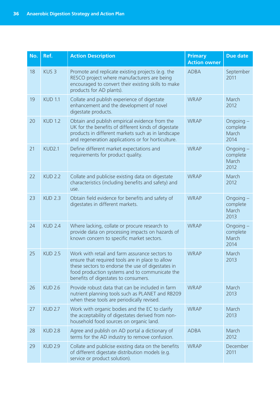| No. | Ref.             | <b>Action Description</b>                                                                                                                                                                                                                         | <b>Primary</b><br><b>Action owner</b> | <b>Due date</b>                        |
|-----|------------------|---------------------------------------------------------------------------------------------------------------------------------------------------------------------------------------------------------------------------------------------------|---------------------------------------|----------------------------------------|
| 18  | KUS <sub>3</sub> | Promote and replicate existing projects (e.g. the<br>RESCO project where manufacturers are being<br>encouraged to convert their existing skills to make<br>products for AD plants).                                                               | <b>ADBA</b>                           | September<br>2011                      |
| 19  | <b>KUD 1.1</b>   | Collate and publish experience of digestate<br>enhancement and the development of novel<br>digestate products.                                                                                                                                    | <b>WRAP</b>                           | March<br>2012                          |
| 20  | <b>KUD 1.2</b>   | Obtain and publish empirical evidence from the<br>UK for the benefits of different kinds of digestate<br>products in different markets such as in landscape<br>and regeneration applications or for horticulture.                                 | <b>WRAP</b>                           | Ongoing -<br>complete<br>March<br>2014 |
| 21  | KUD2.1           | Define different market expectations and<br>requirements for product quality.                                                                                                                                                                     | <b>WRAP</b>                           | Ongoing -<br>complete<br>March<br>2012 |
| 22  | <b>KUD 2.2</b>   | Collate and publicise existing data on digestate<br>characteristics (including benefits and safety) and<br>use.                                                                                                                                   | <b>WRAP</b>                           | March<br>2012                          |
| 23  | <b>KUD 2.3</b>   | Obtain field evidence for benefits and safety of<br>digestates in different markets.                                                                                                                                                              | <b>WRAP</b>                           | Ongoing -<br>complete<br>March<br>2013 |
| 24  | <b>KUD 2.4</b>   | Where lacking, collate or procure research to<br>provide data on processing impacts on hazards of<br>known concern to specific market sectors.                                                                                                    | <b>WRAP</b>                           | Ongoing -<br>complete<br>March<br>2014 |
| 25  | <b>KUD 2.5</b>   | Work with retail and farm assurance sectors to<br>ensure that required tools are in place to allow<br>these sectors to endorse the use of digestates in<br>food production systems and to communicate the<br>benefits of digestates to consumers. | <b>WRAP</b>                           | March<br>2013                          |
| 26  | <b>KUD 2.6</b>   | Provide robust data that can be included in farm<br>nutrient planning tools such as PLANET and RB209<br>when these tools are periodically revised.                                                                                                | <b>WRAP</b>                           | March<br>2013                          |
| 27  | <b>KUD 2.7</b>   | Work with organic bodies and the EC to clarify<br>the acceptability of digestates derived from non-<br>household food sources on organic land.                                                                                                    | <b>WRAP</b>                           | March<br>2013                          |
| 28  | <b>KUD 2.8</b>   | Agree and publish on AD portal a dictionary of<br>terms for the AD industry to remove confusion.                                                                                                                                                  | <b>ADBA</b>                           | March<br>2012                          |
| 29  | <b>KUD 2.9</b>   | Collate and publicise existing data on the benefits<br>of different digestate distribution models (e.g.<br>service or product solution).                                                                                                          | <b>WRAP</b>                           | December<br>2011                       |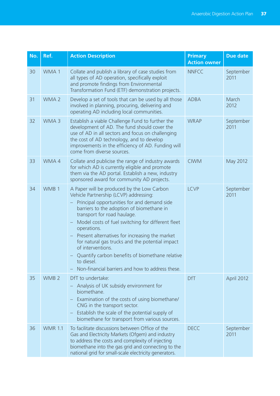| No. | Ref.             | <b>Action Description</b>                                                                                                                                                                                                                                                                                                                                                                                                                                                                                                                               | <b>Primary</b><br><b>Action owner</b> | <b>Due date</b>   |
|-----|------------------|---------------------------------------------------------------------------------------------------------------------------------------------------------------------------------------------------------------------------------------------------------------------------------------------------------------------------------------------------------------------------------------------------------------------------------------------------------------------------------------------------------------------------------------------------------|---------------------------------------|-------------------|
| 30  | WMA 1            | Collate and publish a library of case studies from<br>all types of AD operation, specifically exploit<br>and promote findings from Environmental<br>Transformation Fund (ETF) demonstration projects.                                                                                                                                                                                                                                                                                                                                                   | <b>NNFCC</b>                          | September<br>2011 |
| 31  | WMA <sub>2</sub> | Develop a set of tools that can be used by all those<br>involved in planning, procuring, delivering and<br>operating AD including local communities.                                                                                                                                                                                                                                                                                                                                                                                                    | <b>ADBA</b>                           | March<br>2012     |
| 32  | WMA <sub>3</sub> | Establish a viable Challenge Fund to further the<br>development of AD. The fund should cover the<br>use of AD in all sectors and focus on challenging<br>the cost of AD technology, and to develop<br>improvements in the efficiency of AD. Funding will<br>come from diverse sources.                                                                                                                                                                                                                                                                  | <b>WRAP</b>                           | September<br>2011 |
| 33  | WMA4             | Collate and publicise the range of industry awards<br>for which AD is currently eligible and promote<br>them via the AD portal. Establish a new, industry<br>sponsored award for community AD projects.                                                                                                                                                                                                                                                                                                                                                 | <b>CIWM</b>                           | May 2012          |
| 34  | WMB <sub>1</sub> | A Paper will be produced by the Low Carbon<br>Vehicle Partnership (LCVP) addressing:<br>Principal opportunities for and demand side<br>barriers to the adoption of biomethane in<br>transport for road haulage.<br>Model costs of fuel switching for different fleet<br>$\qquad \qquad -$<br>operations.<br>Present alternatives for increasing the market<br>for natural gas trucks and the potential impact<br>of interventions.<br>Quantify carbon benefits of biomethane relative<br>to diesel.<br>Non-financial barriers and how to address these. | <b>LCVP</b>                           | September<br>2011 |
| 35  | WMB <sub>2</sub> | DfT to undertake:<br>Analysis of UK subsidy environment for<br>biomethane.<br>Examination of the costs of using biomethane/<br>$\overline{\phantom{0}}$<br>CNG in the transport sector.<br>Establish the scale of the potential supply of<br>$\qquad \qquad -$<br>biomethane for transport from various sources.                                                                                                                                                                                                                                        | <b>DfT</b>                            | April 2012        |
| 36  | <b>WMR 1.1</b>   | To facilitate discussions between Office of the<br>Gas and Electricity Markets (Ofgem) and industry<br>to address the costs and complexity of injecting<br>biomethane into the gas grid and connecting to the<br>national grid for small-scale electricity generators.                                                                                                                                                                                                                                                                                  | <b>DECC</b>                           | September<br>2011 |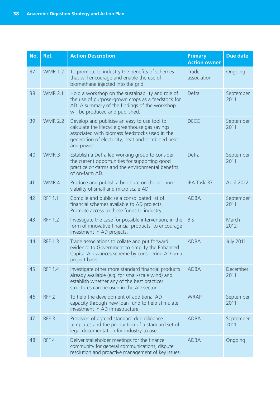| No. | Ref.             | <b>Action Description</b>                                                                                                                                                                                           | <b>Primary</b><br><b>Action owner</b> | <b>Due date</b>   |
|-----|------------------|---------------------------------------------------------------------------------------------------------------------------------------------------------------------------------------------------------------------|---------------------------------------|-------------------|
| 37  | <b>WMR 1.2</b>   | To promote to industry the benefits of schemes<br>that will encourage and enable the use of<br>biomethane injected into the grid.                                                                                   | Trade<br>association                  | Ongoing           |
| 38  | <b>WMR 2.1</b>   | Hold a workshop on the sustainability and role of<br>the use of purpose-grown crops as a feedstock for<br>AD. A summary of the findings of the workshop<br>will be produced and published.                          | Defra                                 | September<br>2011 |
| 39  | <b>WMR 2.2</b>   | Develop and publicise an easy to use tool to<br>calculate the lifecycle greenhouse gas savings<br>associated with biomass feedstocks used in the<br>generation of electricity, heat and combined heat<br>and power. | <b>DECC</b>                           | September<br>2011 |
| 40  | WMR <sub>3</sub> | Establish a Defra led working group to consider<br>the current opportunities for supporting good<br>practice on-farms and the environmental benefits<br>of on-farm AD.                                              | Defra                                 | September<br>2011 |
| 41  | WMR4             | Produce and publish a brochure on the economic<br>viability of small and micro scale AD.                                                                                                                            | IEA Task 37                           | April 2012        |
| 42  | <b>RFF 1.1</b>   | Compile and publicise a consolidated list of<br>financial schemes available to AD projects.<br>Promote access to these funds to industry.                                                                           | <b>ADBA</b>                           | September<br>2011 |
| 43  | <b>RFF 1.2</b>   | Investigate the case for possible intervention, in the<br>form of innovative financial products, to encourage<br>investment in AD projects.                                                                         | <b>BIS</b>                            | March<br>2012     |
| 44  | <b>RFF 1.3</b>   | Trade associations to collate and put forward<br>evidence to Government to simplify the Enhanced<br>Capital Allowances scheme by considering AD on a<br>project basis.                                              | <b>ADBA</b>                           | <b>July 2011</b>  |
| 45  | <b>RFF 1.4</b>   | Investigate other more standard financial products<br>already available (e.g. for small-scale wind) and<br>establish whether any of the best practice/<br>structures can be used in the AD sector.                  | <b>ADBA</b>                           | December<br>2011  |
| 46  | RFF <sub>2</sub> | To help the development of additional AD<br>capacity through new loan fund to help stimulate<br>investment in AD infrastructure.                                                                                    | <b>WRAP</b>                           | September<br>2011 |
| 47  | RFF <sub>3</sub> | Provision of agreed standard due diligence<br>templates and the production of a standard set of<br>legal documentation for industry to use.                                                                         | <b>ADBA</b>                           | September<br>2011 |
| 48  | RFF4             | Deliver stakeholder meetings for the finance<br>community for general communications, dispute<br>resolution and proactive management of key issues.                                                                 | <b>ADBA</b>                           | Ongoing           |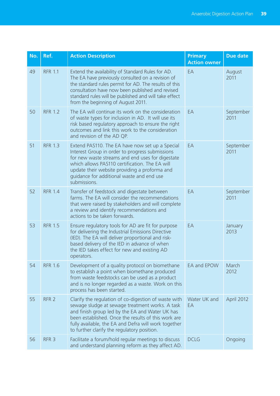| No. | Ref.             | <b>Action Description</b>                                                                                                                                                                                                                                                                                                | <b>Primary</b><br><b>Action owner</b> | <b>Due date</b>   |
|-----|------------------|--------------------------------------------------------------------------------------------------------------------------------------------------------------------------------------------------------------------------------------------------------------------------------------------------------------------------|---------------------------------------|-------------------|
| 49  | <b>RFR 1.1</b>   | Extend the availability of Standard Rules for AD.<br>The EA have previously consulted on a revision of<br>the standard rules permit for AD. The results of this<br>consultation have now been published and revised<br>standard rules will be published and will take effect<br>from the beginning of August 2011.       | EA                                    | August<br>2011    |
| 50  | <b>RFR 1.2</b>   | The EA will continue its work on the consideration<br>of waste types for inclusion in AD. It will use its<br>risk based regulatory approach to ensure the right<br>outcomes and link this work to the consideration<br>and revision of the AD QP.                                                                        | EA                                    | September<br>2011 |
| 51  | <b>RFR 1.3</b>   | Extend PAS110. The EA have now set up a Special<br>Interest Group in order to progress submissions<br>for new waste streams and end uses for digestate<br>which allows PAS110 certification. The EA will<br>update their website providing a proforma and<br>guidance for additional waste and end use<br>submissions.   | EA                                    | September<br>2011 |
| 52  | <b>RFR 1.4</b>   | Transfer of feedstock and digestate between<br>farms. The EA will consider the recommendations<br>that were raised by stakeholders and will complete<br>a review and identify recommendations and<br>actions to be taken forwards.                                                                                       | EA                                    | September<br>2011 |
| 53  | <b>RFR 1.5</b>   | Ensure regulatory tools for AD are fit for purpose<br>for delivering the Industrial Emissions Directive<br>(IED). The EA will deliver proportional and risk-<br>based delivery of the IED in advance of when<br>the IED takes effect for new and existing AD<br>operators.                                               | EA                                    | January<br>2013   |
| 54  | <b>RFR 1.6</b>   | Development of a quality protocol on biomethane<br>to establish a point when biomethane produced<br>from waste feedstocks can be used as a product<br>and is no longer regarded as a waste. Work on this<br>process has been started.                                                                                    | EA and EPOW                           | March<br>2012     |
| 55  | RFR <sub>2</sub> | Clarify the regulation of co-digestion of waste with<br>sewage sludge at sewage treatment works. A task<br>and finish group led by the EA and Water UK has<br>been established. Once the results of this work are<br>fully available, the EA and Defra will work together<br>to further clarify the regulatory position. | Water UK and<br>EA                    | April 2012        |
| 56  | RFR <sub>3</sub> | Facilitate a forum/hold regular meetings to discuss<br>and understand planning reform as they affect AD.                                                                                                                                                                                                                 | <b>DCLG</b>                           | Ongoing           |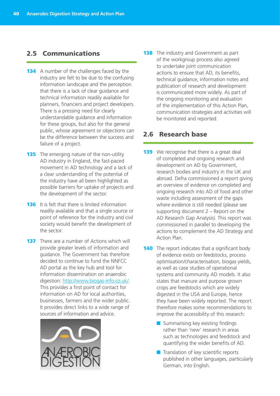## 2.5 Communications

- **134** A number of the challenges faced by the industry are felt to be due to the confusing information landscape and the perception that there is a lack of clear guidance and technical information readily available for planners, financiers and project developers. There is a pressing need for clearly understandable guidance and information for these groups, but also for the general public, whose agreement or objections can be the difference between the success and failure of a project.
- **135** The emerging nature of the non-utility AD industry in England, the fast-paced movement in AD technology and a lack of a clear understanding of the potential of the industry have all been highlighted as possible barriers for uptake of projects and the development of the sector.
- **136** It is felt that there is limited information readily available and that a single source or point of reference for the industry and civil society would benefit the development of the sector.
- **137** There are a number of Actions which will provide greater levels of information and guidance. The Government has therefore decided to continue to fund the NNFCC AD portal as the key hub and tool for information dissemination on anaerobic digestion: http://www.biogas-info.co.uk/. This provides a first point of contact for information on AD for local authorities, businesses, farmers and the wider public. It provides direct links to a wide range of sources of information and advice.



**138** The industry and Government as part of the workgroup process also agreed to undertake joint communication actions to ensure that AD, its benefits, technical guidance, information notes and publication of research and development is communicated more widely. As part of the ongoing monitoring and evaluation of the implementation of this Action Plan, communication strategies and activities will be monitored and reported.

## 2.6 Research base

- **139** We recognise that there is a great deal of completed and ongoing research and development on AD by Government, research bodies and industry in the UK and abroad. Defra commissioned a report giving an overview of evidence on completed and ongoing research into AD of food and other waste including assessment of the gaps where evidence is still needed (please see supporting document 2 – Report on the AD Research Gap Analysis). This report was commissioned in parallel to developing the actions to complement the AD Strategy and Action Plan.
- **140** The report indicates that a significant body of evidence exists on feedstocks, process optimisation/characterisation, biogas yields, as well as case studies of operational systems and community AD models. It also states that manure and purpose grown crops are feedstocks which are widely digested in the USA and Europe, hence they have been widely reported. The report therefore makes some recommendations to improve the accessibility of this research:
	- Summarising key existing findings rather than 'new' research in areas such as technologies and feedstock and quantifying the wider benefits of AD.
	- Translation of key scientific reports published in other languages, particularly German, into English.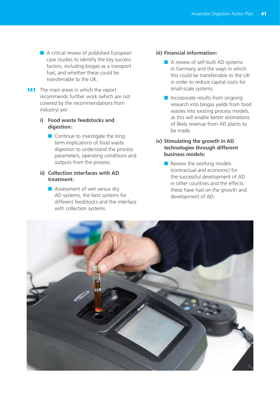- A critical review of published European case studies to identify the key success factors, including biogas as a transport fuel, and whether these could be transferrable to the UK.
- **141** The main areas in which the report recommends further work (which are not covered by the recommendations from industry) are:

#### **i) Food waste feedstocks and digestion:**

■ Continue to investigate the long term implications of food waste digestion to understand the process parameters, operating conditions and outputs from the process.

#### **ii) Collection interfaces with AD treatment:**

■ Assessment of wet versus dry AD systems, the best systems for different feedstocks and the interface with collection systems.

#### **iii) Financial information:**

- A review of self-built AD systems in Germany and the ways in which this could be transferrable to the UK in order to reduce capital costs for small-scale systems.
- Incorporate results from ongoing research into biogas yields from food wastes into existing process models, as this will enable better estimations of likely revenue from AD plants to be made.

#### **iv) Stimulating the growth in AD technologies through different business models:**

■ Review the working models (contractual and economic) for the successful development of AD in other countries and the effects these have had on the growth and development of AD.

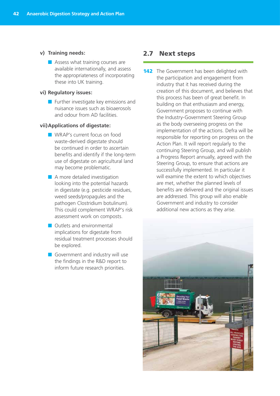- **v) Training needs:**
	- Assess what training courses are available internationally, and assess the appropriateness of incorporating these into UK training.

#### **vi) Regulatory issues:**

■ Further investigate key emissions and nuisance issues such as bioaerosols and odour from AD facilities.

#### **vii)Applications of digestate:**

- WRAP's current focus on food waste-derived digestate should be continued in order to ascertain benefits and identify if the long-term use of digestate on agricultural land may become problematic.
- A more detailed investigation looking into the potential hazards in digestate (e.g. pesticide residues, weed seeds/propagules and the pathogen Clostridium botulinum). This could complement WRAP's risk assessment work on composts.
- Outlets and environmental implications for digestate from residual treatment processes should be explored.
- Government and industry will use the findings in the R&D report to inform future research priorities.

#### 2.7 Next steps

**142** The Government has been delighted with the participation and engagement from industry that it has received during the creation of this document, and believes that this process has been of great benefit. In building on that enthusiasm and energy, Government proposes to continue with the Industry-Government Steering Group as the body overseeing progress on the implementation of the actions. Defra will be responsible for reporting on progress on the Action Plan. It will report regularly to the continuing Steering Group, and will publish a Progress Report annually, agreed with the Steering Group, to ensure that actions are successfully implemented. In particular it will examine the extent to which objectives are met, whether the planned levels of benefits are delivered and the original issues are addressed. This group will also enable Government and industry to consider additional new actions as they arise.

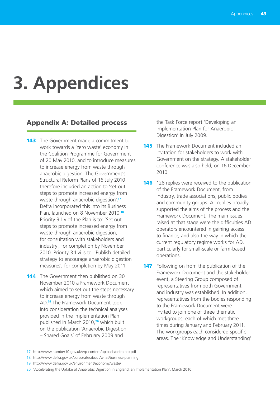## **3. Appendices**

#### Appendix A: Detailed process

- **143** The Government made a commitment to work towards a 'zero waste' economy in the Coalition Programme for Government of 20 May 2010, and to introduce measures to increase energy from waste through anaerobic digestion. The Government's Structural Reform Plans of 16 July 2010 therefore included an action to 'set out steps to promote increased energy from waste through anaerobic digestion'.**<sup>17</sup>** Defra incorporated this into its Business Plan, launched on 8 November 2010.**<sup>18</sup>** Priority 3.1.v of the Plan is to: 'Set out steps to promote increased energy from waste through anaerobic digestion, for consultation with stakeholders and industry', for completion by November 2010. Priority 3.1.vi is to: 'Publish detailed strategy to encourage anaerobic digestion measures', for completion by May 2011.
- **144** The Government then published on 30 November 2010 a Framework Document which aimed to set out the steps necessary to increase energy from waste through AD.**19** The Framework Document took into consideration the technical analyses provided in the Implementation Plan published in March 2010,**20** which built on the publication 'Anaerobic Digestion – Shared Goals' of February 2009 and

the Task Force report 'Developing an Implementation Plan for Anaerobic Digestion' in July 2009.

- **145** The Framework Document included an invitation for stakeholders to work with Government on the strategy. A stakeholder conference was also held, on 16 December 2010.
- **146** 128 replies were received to the publication of the Framework Document, from industry, trade associations, public bodies and community groups. All replies broadly supported the aims of the process and the Framework Document. The main issues raised at that stage were the difficulties AD operators encountered in gaining access to finance, and also the way in which the current regulatory regime works for AD, particularly for small-scale or farm-based operations.

**147** Following on from the publication of the Framework Document and the stakeholder event, a Steering Group composed of representatives from both Government and industry was established. In addition, representatives from the bodies responding to the Framework Document were invited to join one of three thematic workgroups, each of which met three times during January and February 2011. The workgroups each considered specific areas. The 'Knowledge and Understanding'

18 http://www.defra.gov.uk/corporate/about/what/business-planning

<sup>17</sup> http://www.number10.gov.uk/wp-content/uploads/defra-srp.pdf

<sup>19</sup> http://www.defra.gov.uk/environment/economy/waste/

<sup>20</sup> 'Accelerating the Uptake of Anaerobic Digestion in England: an Implementation Plan', March 2010.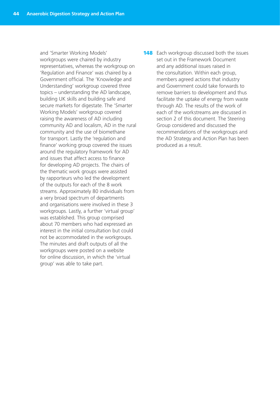and 'Smarter Working Models' workgroups were chaired by industry representatives, whereas the workgroup on 'Regulation and Finance' was chaired by a Government official. The 'Knowledge and Understanding' workgroup covered three topics – understanding the AD landscape, building UK skills and building safe and secure markets for digestate. The 'Smarter Working Models' workgroup covered raising the awareness of AD including community AD and localism, AD in the rural community and the use of biomethane for transport. Lastly the 'regulation and finance' working group covered the issues around the regulatory framework for AD and issues that affect access to finance for developing AD projects. The chairs of the thematic work groups were assisted by rapporteurs who led the development of the outputs for each of the 8 work streams. Approximately 80 individuals from a very broad spectrum of departments and organisations were involved in these 3 workgroups. Lastly, a further 'virtual group' was established. This group comprised about 70 members who had expressed an interest in the initial consultation but could not be accommodated in the workgroups. The minutes and draft outputs of all the workgroups were posted on a website for online discussion, in which the 'virtual group' was able to take part.

**148** Each workgroup discussed both the issues set out in the Framework Document and any additional issues raised in the consultation. Within each group, members agreed actions that industry and Government could take forwards to remove barriers to development and thus facilitate the uptake of energy from waste through AD. The results of the work of each of the workstreams are discussed in section 2 of this document. The Steering Group considered and discussed the recommendations of the workgroups and the AD Strategy and Action Plan has been produced as a result.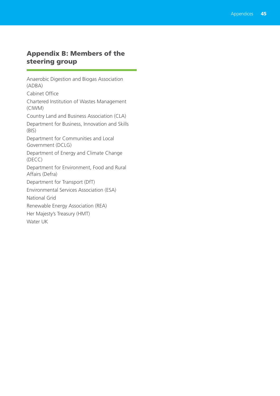## Appendix B: Members of the steering group

Anaerobic Digestion and Biogas Association (ADBA) Cabinet Office Chartered Institution of Wastes Management (CIWM) Country Land and Business Association (CLA) Department for Business, Innovation and Skills (BIS) Department for Communities and Local Government (DCLG) Department of Energy and Climate Change (DECC) Department for Environment, Food and Rural Affairs (Defra) Department for Transport (DfT) Environmental Services Association (ESA) National Grid Renewable Energy Association (REA) Her Majesty's Treasury (HMT) Water UK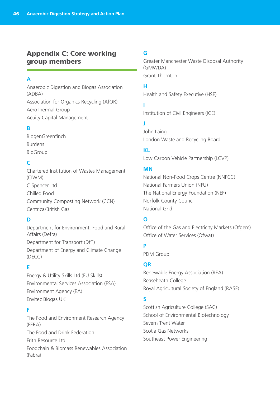## Appendix C: Core working group members

### **A**

Anaerobic Digestion and Biogas Association (ADBA) Association for Organics Recycling (AfOR) AeroThermal Group

Acuity Capital Management

### **B**

BiogenGreenfinch Burdens BioGroup

## **C**

Chartered Institution of Wastes Management (CIWM) C Spencer Ltd Chilled Food Community Composting Network (CCN) Centrica/British Gas

### **D**

Department for Environment, Food and Rural Affairs (Defra) Department for Transport (DfT) Department of Energy and Climate Change (DECC)

### **E**

Energy & Utility Skills Ltd (EU Skills) Environmental Services Association (ESA) Environment Agency (EA) Envitec Biogas UK

### **F**

The Food and Environment Research Agency (FERA) The Food and Drink Federation Frith Resource Ltd Foodchain & Biomass Renewables Association (Fabra)

## **G**

Greater Manchester Waste Disposal Authority (GMWDA) Grant Thornton

#### **H**

Health and Safety Executive (HSE)

#### **I**

Institution of Civil Engineers (ICE)

## **J**

John Laing London Waste and Recycling Board

#### **KL**

Low Carbon Vehicle Partnership (LCVP)

#### **MN**

National Non-Food Crops Centre (NNFCC) National Farmers Union (NFU) The National Energy Foundation (NEF) Norfolk County Council National Grid

## **O**

Office of the Gas and Electricity Markets (Ofgem) Office of Water Services (Ofwat)

### **P**

PDM Group

#### **QR**

Renewable Energy Association (REA) Reaseheath College Royal Agricultural Society of England (RASE)

#### **S**

Scottish Agriculture College (SAC) School of Environmental Biotechnology Severn Trent Water Scotia Gas Networks Southeast Power Engineering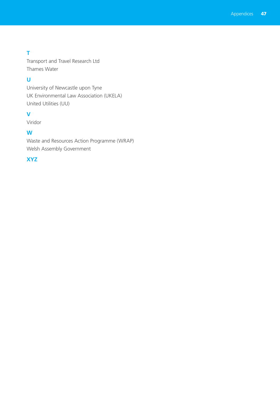## **T**

Transport and Travel Research Ltd Thames Water

## **U**

University of Newcastle upon Tyne UK Environmental Law Association (UKELA) United Utilities (UU)

## **V**

Viridor

## **W**

Waste and Resources Action Programme (WRAP) Welsh Assembly Government

### **XYZ**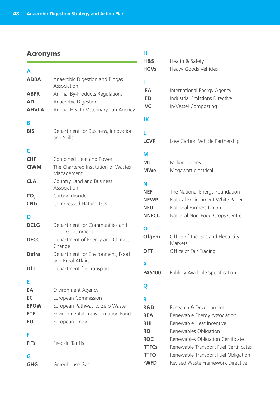#### Acronyms

| A               |                                                       |
|-----------------|-------------------------------------------------------|
| <b>ADBA</b>     | Anaerobic Digestion and Biogas<br>Association         |
| <b>ABPR</b>     | Animal By-Products Regulations                        |
| <b>AD</b>       | Anaerobic Digestion                                   |
| <b>AHVLA</b>    | Animal Health Veterinary Lab Agency                   |
| в               |                                                       |
| <b>BIS</b>      | Department for Business, Innovation<br>and Skills     |
| Г               |                                                       |
| <b>CHP</b>      | Combined Heat and Power                               |
| <b>CIWM</b>     | The Chartered Institution of Wastes<br>Management     |
| <b>CLA</b>      | Country Land and Business<br>Association              |
| CO <sub>2</sub> | Carbon dioxide                                        |
| <b>CNG</b>      | <b>Compressed Natural Gas</b>                         |
| D               |                                                       |
| <b>DCLG</b>     | Department for Communities and<br>Local Government    |
| <b>DECC</b>     | Department of Energy and Climate<br>Change            |
| <b>Defra</b>    | Department for Environment, Food<br>and Rural Affairs |
| DfT             | Department for Transport                              |
| Е               |                                                       |
| EA              | <b>Environment Agency</b>                             |
| EC              | European Commission                                   |
| <b>EPOW</b>     | European Pathway to Zero Waste                        |
| ETF             | <b>Environmental Transformation Fund</b>              |
| EU              | European Union                                        |
| F<br>FiTs       | Feed-In Tariffs                                       |
| G               |                                                       |
| <b>GHG</b>      | Greenhouse Gas                                        |

## **H&S** Health & Safety **HGVs** Heavy Goods Vehicles **I IEA** International Energy Agency **IED** Industrial Emissions Directive **IVC** In-Vessel Composting **JK L LCVP** Low Carbon Vehicle Partnership **M Mt** Million tonnes **MWe** Megawatt electrical **N NEF** The National Energy Foundation **NEWP** Natural Environment White Paper **NFU** National Farmers Union **NNFCC** National Non-Food Crops Centre **O Ofgem** Office of the Gas and Electricity **Markets OFT** Office of Fair Trading **P PAS100** Publicly Available Specification **Q R R&D** Research & Development **REA** Renewable Energy Association **RHI** Renewable Heat Incentive **RO** Renewables Obligation **ROC** Renewables Obligation Certificate **RTFCs** Renewable Transport Fuel Certificates **RTFO** Renewable Transport Fuel Obligation

**rWFD** Revised Waste Framework Directive

**H**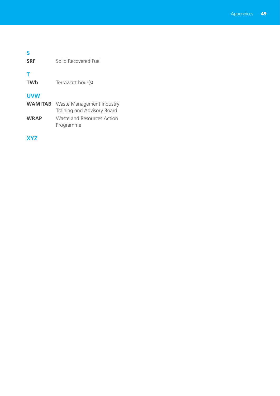## **S SRF** Solid Recovered Fuel **T TWh** Terrawatt hour(s) **UVW WAMITAB** Waste Management Industry Training and Advisory Board **WRAP** Waste and Resources Action Programme

**XYZ**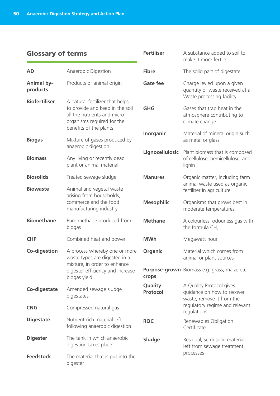## Glossary of terms

| <b>Glossary of terms</b>      |                                                                                                                                  | <b>Fertiliser</b>   | A substance added to soil to<br>make it more fertile                                       |  |
|-------------------------------|----------------------------------------------------------------------------------------------------------------------------------|---------------------|--------------------------------------------------------------------------------------------|--|
| <b>AD</b>                     | Anaerobic Digestion                                                                                                              | <b>Fibre</b>        | The solid part of digestate                                                                |  |
| <b>Animal by-</b><br>products | Products of animal origin                                                                                                        | <b>Gate fee</b>     | Charge levied upon a given<br>quantity of waste received at a<br>Waste processing facility |  |
| <b>Biofertiliser</b>          | A natural fertilizer that helps<br>to provide and keep in the soil<br>all the nutrients and micro-<br>organisms required for the | <b>GHG</b>          | Gases that trap heat in the<br>atmosphere contributing to<br>climate change                |  |
| <b>Biogas</b>                 | benefits of the plants<br>Mixture of gases produced by<br>anaerobic digestion                                                    | Inorganic           | Material of mineral origin such<br>as metal or glass                                       |  |
| <b>Biomass</b>                | Any living or recently dead<br>plant or animal material                                                                          | Lignocellulosic     | Plant biomass that is composed<br>of cellulose, hemicellulose, and<br>lignin               |  |
| <b>Biosolids</b>              | Treated sewage sludge                                                                                                            | <b>Manures</b>      | Organic matter, including farm                                                             |  |
| <b>Biowaste</b>               | Animal and vegetal waste<br>arising from households,<br>commerce and the food<br>manufacturing industry                          |                     | animal waste used as organic<br>fertiliser in agriculture                                  |  |
|                               |                                                                                                                                  | <b>Mesophilic</b>   | Organisms that grows best in<br>moderate temperatures                                      |  |
| <b>Biomethane</b>             | Pure methane produced from<br>biogas                                                                                             | <b>Methane</b>      | A colourless, odourless gas with<br>the formula $CH4$                                      |  |
| <b>CHP</b>                    | Combined heat and power                                                                                                          | <b>MWh</b>          | Megawatt hour                                                                              |  |
| Co-digestion                  | A process whereby one or more<br>waste types are digested in a                                                                   | Organic             | Material which comes from<br>animal or plant sources                                       |  |
|                               | mixture, in order to enhance<br>digester efficiency and increase<br>biogas yield                                                 | crops               | Purpose-grown Biomass e.g. grass, maize etc                                                |  |
| Co-digestate                  | Amended sewage sludge<br>digestates                                                                                              | Quality<br>Protocol | A Quality Protocol gives<br>guidance on how to recover<br>waste, remove it from the        |  |
| <b>CNG</b>                    | Compressed natural gas                                                                                                           |                     | regulatory regime and relevant<br>regulations                                              |  |
| <b>Digestate</b>              | Nutrient-rich material left<br>following anaerobic digestion                                                                     | <b>ROC</b>          | Renewables Obligation<br>Certificate                                                       |  |
| <b>Digester</b>               | The tank in which anaerobic<br>digestion takes place                                                                             | <b>Sludge</b>       | Residual, semi-solid material<br>left from sewage treatment                                |  |
| <b>Feedstock</b>              | The material that is put into the<br>digester                                                                                    |                     | processes                                                                                  |  |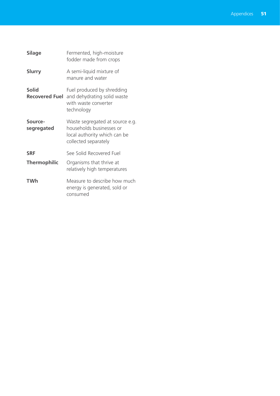| <b>Silage</b>         | Fermented, high-moisture<br>fodder made from crops                                                                    |
|-----------------------|-----------------------------------------------------------------------------------------------------------------------|
| <b>Slurry</b>         | A semi-liquid mixture of<br>manure and water                                                                          |
| <b>Solid</b>          | Fuel produced by shredding<br><b>Recovered Fuel</b> and dehydrating solid waste<br>with waste converter<br>technology |
| Source-<br>segregated | Waste segregated at source e.g.<br>households businesses or<br>local authority which can be<br>collected separately   |
| <b>SRF</b>            | See Solid Recovered Fuel                                                                                              |
| <b>Thermophilic</b>   | Organisms that thrive at<br>relatively high temperatures                                                              |
| TWh                   | Measure to describe how much<br>energy is generated, sold or<br>consumed                                              |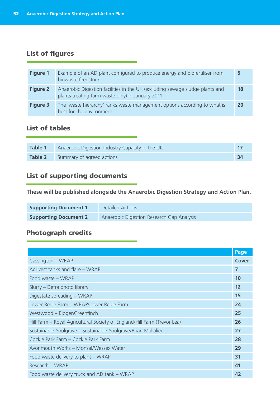## List of figures

| <b>Figure 1</b> | Example of an AD plant configured to produce energy and biofertiliser from<br>biowaste feedstock                                 | 5  |
|-----------------|----------------------------------------------------------------------------------------------------------------------------------|----|
| <b>Figure 2</b> | Anaerobic Digestion facilities in the UK (excluding sewage sludge plants and<br>plants treating farm waste only) in January 2011 | 18 |
| <b>Figure 3</b> | The 'waste hierarchy' ranks waste management options according to what is<br>best for the environment                            | 20 |

## List of tables

| <b>Table 1</b> | Anaerobic Digestion Industry Capacity in the UK |      |
|----------------|-------------------------------------------------|------|
| Table 2        | Summary of agreed actions                       | - 34 |

## List of supporting documents

**These will be published alongside the Anaerobic Digestion Strategy and Action Plan.**

| <b>Supporting Document 1</b> | Detailed Actions                          |
|------------------------------|-------------------------------------------|
| <b>Supporting Document 2</b> | Anaerobic Digestion Research Gap Analysis |

## Photograph credits

|                                                                          | Page         |  |
|--------------------------------------------------------------------------|--------------|--|
| Cassington - WRAP                                                        | <b>Cover</b> |  |
| Agrivert tanks and flare - WRAP                                          | 7            |  |
| Food waste - WRAP                                                        | 10           |  |
| Slurry – Defra photo library                                             | 12           |  |
| Digestate spreading - WRAP                                               | 15           |  |
| Lower Reule Farm - WRAP/Lower Reule Farm                                 | 24           |  |
| Westwood - BiogenGreenfinch                                              | 25           |  |
| Hill Farm - Royal Agricultural Society of England/Hill Farm (Trevor Lea) | 26           |  |
| Sustainable Youlgrave - Sustainable Youlgrave/Brian Mallalieu            | 27           |  |
| Cockle Park Farm - Cockle Park Farm                                      | 28           |  |
| Avonmouth Works - Monsal/Wessex Water                                    | 29           |  |
| Food waste delivery to plant – WRAP                                      | 31           |  |
| Research - WRAP                                                          |              |  |
| Food waste delivery truck and AD tank - WRAP                             | 42           |  |